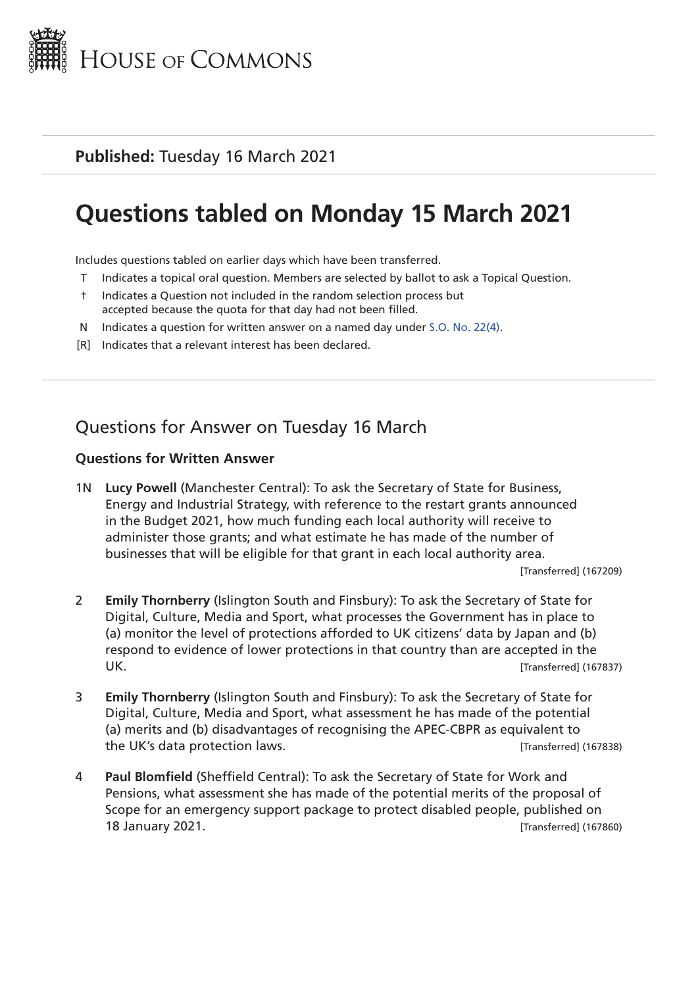

# **Questions tabled on Monday 15 March 2021**

Includes questions tabled on earlier days which have been transferred.

- T Indicates a topical oral question. Members are selected by ballot to ask a Topical Question.
- † Indicates a Question not included in the random selection process but accepted because the quota for that day had not been filled.
- N Indicates a question for written answer on a named day under [S.O. No. 22\(4\)](http://publications.parliament.uk/pa/cm201719/cmstords/0004/body.html#22(4)).
- [R] Indicates that a relevant interest has been declared.

## Questions for Answer on Tuesday 16 March

#### **Questions for Written Answer**

1N **Lucy Powell** (Manchester Central): To ask the Secretary of State for Business, Energy and Industrial Strategy, with reference to the restart grants announced in the Budget 2021, how much funding each local authority will receive to administer those grants; and what estimate he has made of the number of businesses that will be eligible for that grant in each local authority area.

[Transferred] (167209)

- 2 **Emily Thornberry** (Islington South and Finsbury): To ask the Secretary of State for Digital, Culture, Media and Sport, what processes the Government has in place to (a) monitor the level of protections afforded to UK citizens' data by Japan and (b) respond to evidence of lower protections in that country than are accepted in the UK. [Transferred] (167837)
- 3 **Emily Thornberry** (Islington South and Finsbury): To ask the Secretary of State for Digital, Culture, Media and Sport, what assessment he has made of the potential (a) merits and (b) disadvantages of recognising the APEC-CBPR as equivalent to the UK's data protection laws. [Transferred] (167838)
- 4 **Paul Blomfield** (Sheffield Central): To ask the Secretary of State for Work and Pensions, what assessment she has made of the potential merits of the proposal of Scope for an emergency support package to protect disabled people, published on 18 January 2021. [Transferred] (167860)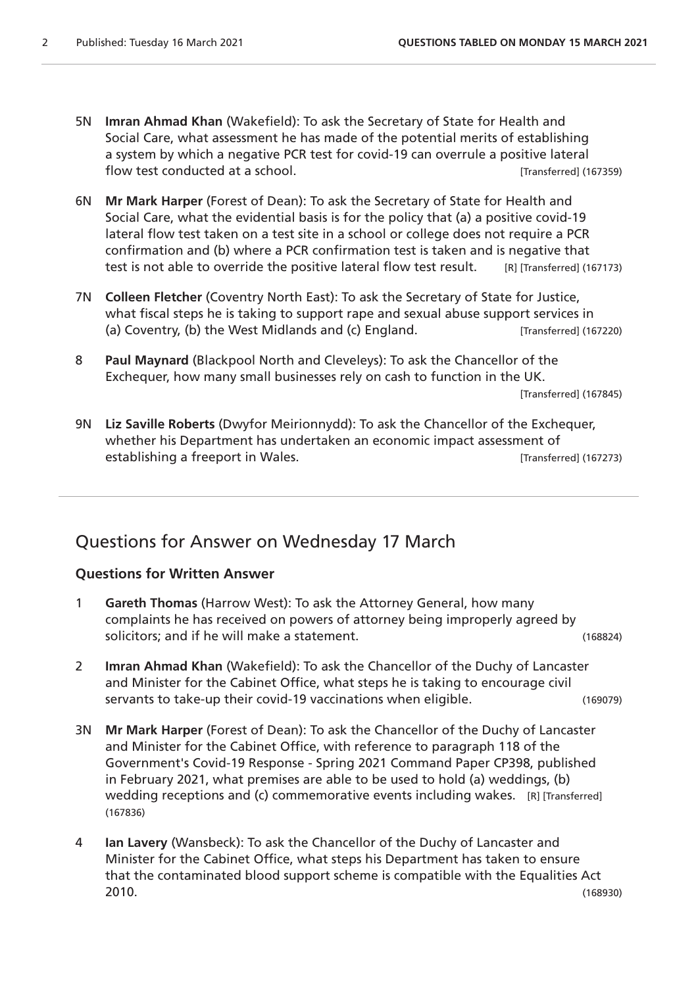- 5N **Imran Ahmad Khan** (Wakefield): To ask the Secretary of State for Health and Social Care, what assessment he has made of the potential merits of establishing a system by which a negative PCR test for covid-19 can overrule a positive lateral flow test conducted at a school. The set of the set of the set of the set of the set of the set of the set of the set of the set of the set of the set of the set of the set of the set of the set of the set of the set of th
- 6N **Mr Mark Harper** (Forest of Dean): To ask the Secretary of State for Health and Social Care, what the evidential basis is for the policy that (a) a positive covid-19 lateral flow test taken on a test site in a school or college does not require a PCR confirmation and (b) where a PCR confirmation test is taken and is negative that test is not able to override the positive lateral flow test result. [R] [Transferred] (167173)
- 7N **Colleen Fletcher** (Coventry North East): To ask the Secretary of State for Justice, what fiscal steps he is taking to support rape and sexual abuse support services in (a) Coventry, (b) the West Midlands and (c) England. [Transferred] (167220)
- 8 **Paul Maynard** (Blackpool North and Cleveleys): To ask the Chancellor of the Exchequer, how many small businesses rely on cash to function in the UK.

[Transferred] (167845)

9N **Liz Saville Roberts** (Dwyfor Meirionnydd): To ask the Chancellor of the Exchequer, whether his Department has undertaken an economic impact assessment of establishing a freeport in Wales. **In the contract of the Contract Contract** [Transferred] (167273)

## Questions for Answer on Wednesday 17 March

#### **Questions for Written Answer**

- 1 **Gareth Thomas** (Harrow West): To ask the Attorney General, how many complaints he has received on powers of attorney being improperly agreed by solicitors; and if he will make a statement. (168824)
- 2 **Imran Ahmad Khan** (Wakefield): To ask the Chancellor of the Duchy of Lancaster and Minister for the Cabinet Office, what steps he is taking to encourage civil servants to take-up their covid-19 vaccinations when eligible. (169079)
- 3N **Mr Mark Harper** (Forest of Dean): To ask the Chancellor of the Duchy of Lancaster and Minister for the Cabinet Office, with reference to paragraph 118 of the Government's Covid-19 Response - Spring 2021 Command Paper CP398, published in February 2021, what premises are able to be used to hold (a) weddings, (b) wedding receptions and (c) commemorative events including wakes. [R] [Transferred] (167836)
- 4 **Ian Lavery** (Wansbeck): To ask the Chancellor of the Duchy of Lancaster and Minister for the Cabinet Office, what steps his Department has taken to ensure that the contaminated blood support scheme is compatible with the Equalities Act 2010. (168930)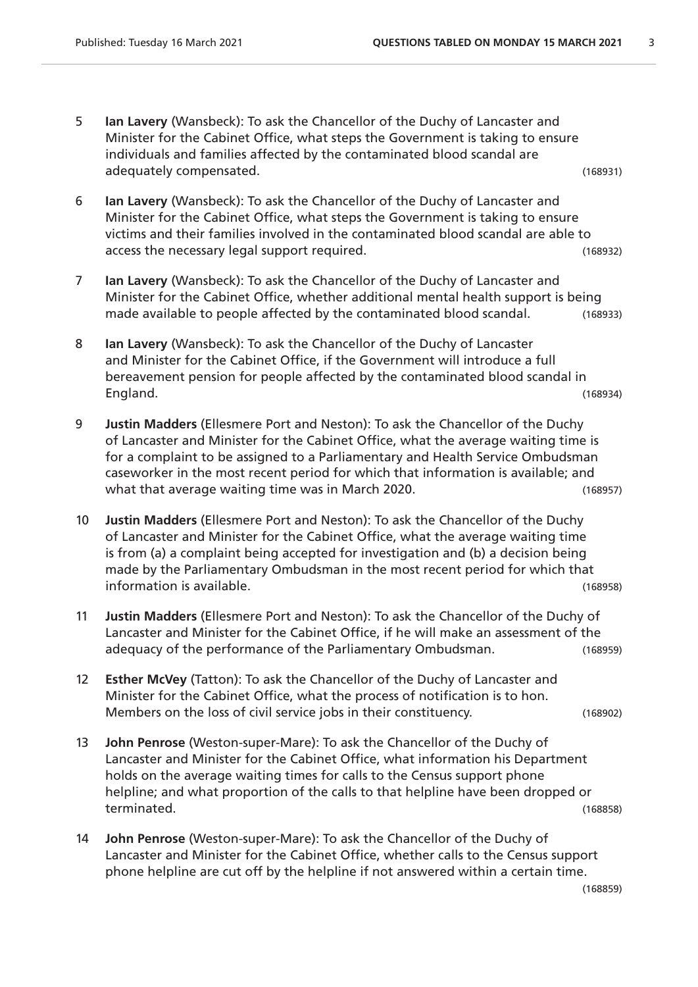- 5 **Ian Lavery** (Wansbeck): To ask the Chancellor of the Duchy of Lancaster and Minister for the Cabinet Office, what steps the Government is taking to ensure individuals and families affected by the contaminated blood scandal are adequately compensated. (168931)
	-
- 6 **Ian Lavery** (Wansbeck): To ask the Chancellor of the Duchy of Lancaster and Minister for the Cabinet Office, what steps the Government is taking to ensure victims and their families involved in the contaminated blood scandal are able to access the necessary legal support required. (168932)
- 7 **Ian Lavery** (Wansbeck): To ask the Chancellor of the Duchy of Lancaster and Minister for the Cabinet Office, whether additional mental health support is being made available to people affected by the contaminated blood scandal. (168933)
- 8 **Ian Lavery** (Wansbeck): To ask the Chancellor of the Duchy of Lancaster and Minister for the Cabinet Office, if the Government will introduce a full bereavement pension for people affected by the contaminated blood scandal in England. (168934)
- 9 **Justin Madders** (Ellesmere Port and Neston): To ask the Chancellor of the Duchy of Lancaster and Minister for the Cabinet Office, what the average waiting time is for a complaint to be assigned to a Parliamentary and Health Service Ombudsman caseworker in the most recent period for which that information is available; and what that average waiting time was in March 2020.
- 10 **Justin Madders** (Ellesmere Port and Neston): To ask the Chancellor of the Duchy of Lancaster and Minister for the Cabinet Office, what the average waiting time is from (a) a complaint being accepted for investigation and (b) a decision being made by the Parliamentary Ombudsman in the most recent period for which that information is available. (168958)
- 11 **Justin Madders** (Ellesmere Port and Neston): To ask the Chancellor of the Duchy of Lancaster and Minister for the Cabinet Office, if he will make an assessment of the adequacy of the performance of the Parliamentary Ombudsman. (168959)
- 12 **Esther McVey** (Tatton): To ask the Chancellor of the Duchy of Lancaster and Minister for the Cabinet Office, what the process of notification is to hon. Members on the loss of civil service jobs in their constituency. (168902)
	-
- 13 **John Penrose** (Weston-super-Mare): To ask the Chancellor of the Duchy of Lancaster and Minister for the Cabinet Office, what information his Department holds on the average waiting times for calls to the Census support phone helpline; and what proportion of the calls to that helpline have been dropped or terminated. (168858)
- 14 **John Penrose** (Weston-super-Mare): To ask the Chancellor of the Duchy of Lancaster and Minister for the Cabinet Office, whether calls to the Census support phone helpline are cut off by the helpline if not answered within a certain time.

(168859)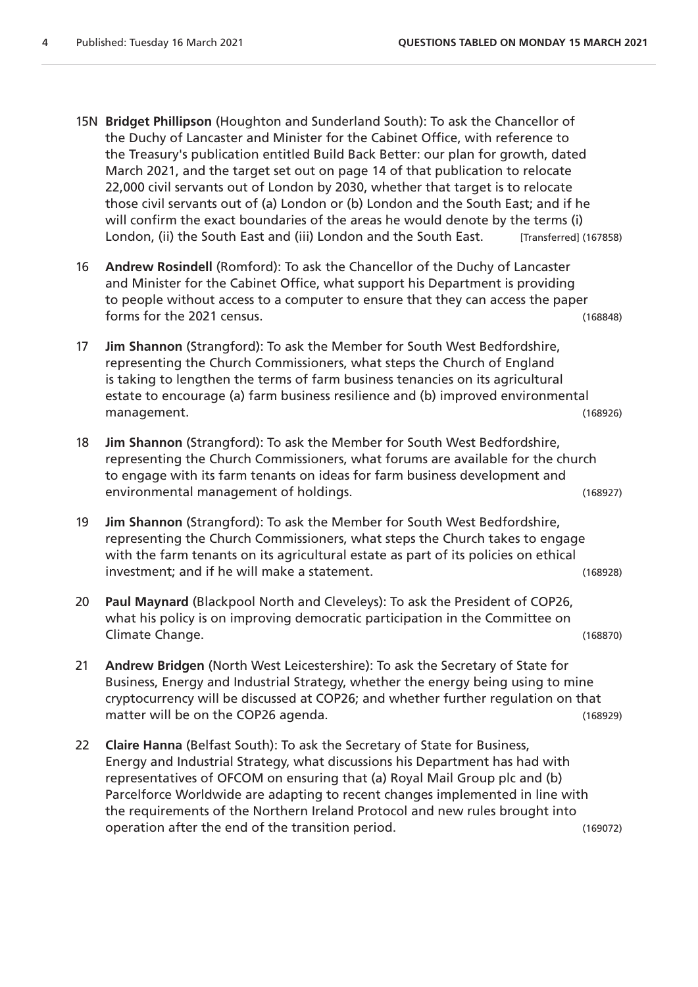- 15N **Bridget Phillipson** (Houghton and Sunderland South): To ask the Chancellor of the Duchy of Lancaster and Minister for the Cabinet Office, with reference to the Treasury's publication entitled Build Back Better: our plan for growth, dated March 2021, and the target set out on page 14 of that publication to relocate 22,000 civil servants out of London by 2030, whether that target is to relocate those civil servants out of (a) London or (b) London and the South East; and if he will confirm the exact boundaries of the areas he would denote by the terms (i) London, (ii) the South East and (iii) London and the South East. [Transferred] (167858)
- 16 **Andrew Rosindell** (Romford): To ask the Chancellor of the Duchy of Lancaster and Minister for the Cabinet Office, what support his Department is providing to people without access to a computer to ensure that they can access the paper forms for the 2021 census. (168848)
- 17 **Jim Shannon** (Strangford): To ask the Member for South West Bedfordshire, representing the Church Commissioners, what steps the Church of England is taking to lengthen the terms of farm business tenancies on its agricultural estate to encourage (a) farm business resilience and (b) improved environmental management. (168926)
- 18 **Jim Shannon** (Strangford): To ask the Member for South West Bedfordshire, representing the Church Commissioners, what forums are available for the church to engage with its farm tenants on ideas for farm business development and environmental management of holdings. (168927)
- 19 **Jim Shannon** (Strangford): To ask the Member for South West Bedfordshire, representing the Church Commissioners, what steps the Church takes to engage with the farm tenants on its agricultural estate as part of its policies on ethical investment; and if he will make a statement. (168928)
- 20 **Paul Maynard** (Blackpool North and Cleveleys): To ask the President of COP26, what his policy is on improving democratic participation in the Committee on Climate Change. (168870)
- 21 **Andrew Bridgen** (North West Leicestershire): To ask the Secretary of State for Business, Energy and Industrial Strategy, whether the energy being using to mine cryptocurrency will be discussed at COP26; and whether further regulation on that matter will be on the COP26 agenda. (168929)
- 22 **Claire Hanna** (Belfast South): To ask the Secretary of State for Business, Energy and Industrial Strategy, what discussions his Department has had with representatives of OFCOM on ensuring that (a) Royal Mail Group plc and (b) Parcelforce Worldwide are adapting to recent changes implemented in line with the requirements of the Northern Ireland Protocol and new rules brought into operation after the end of the transition period. (169072)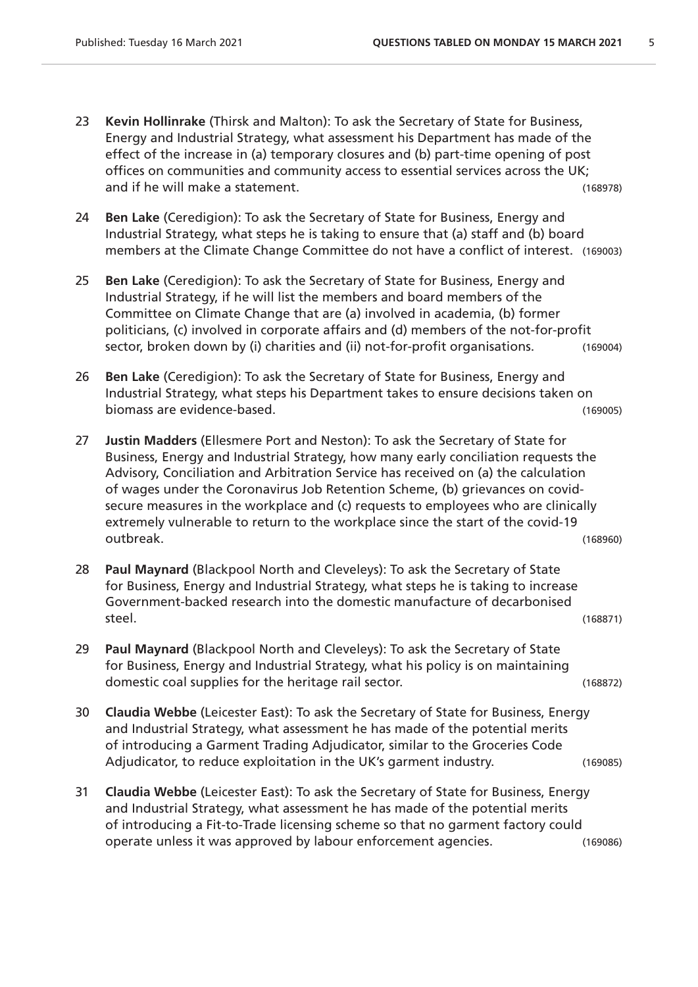- 23 **Kevin Hollinrake** (Thirsk and Malton): To ask the Secretary of State for Business, Energy and Industrial Strategy, what assessment his Department has made of the effect of the increase in (a) temporary closures and (b) part-time opening of post offices on communities and community access to essential services across the UK; and if he will make a statement. (168978)
- 24 **Ben Lake** (Ceredigion): To ask the Secretary of State for Business, Energy and Industrial Strategy, what steps he is taking to ensure that (a) staff and (b) board members at the Climate Change Committee do not have a conflict of interest. (169003)
- 25 **Ben Lake** (Ceredigion): To ask the Secretary of State for Business, Energy and Industrial Strategy, if he will list the members and board members of the Committee on Climate Change that are (a) involved in academia, (b) former politicians, (c) involved in corporate affairs and (d) members of the not-for-profit sector, broken down by (i) charities and (ii) not-for-profit organisations. (169004)
- 26 **Ben Lake** (Ceredigion): To ask the Secretary of State for Business, Energy and Industrial Strategy, what steps his Department takes to ensure decisions taken on biomass are evidence-based. (169005)
- 27 **Justin Madders** (Ellesmere Port and Neston): To ask the Secretary of State for Business, Energy and Industrial Strategy, how many early conciliation requests the Advisory, Conciliation and Arbitration Service has received on (a) the calculation of wages under the Coronavirus Job Retention Scheme, (b) grievances on covidsecure measures in the workplace and (c) requests to employees who are clinically extremely vulnerable to return to the workplace since the start of the covid-19 outbreak. (168960)
- 28 **Paul Maynard** (Blackpool North and Cleveleys): To ask the Secretary of State for Business, Energy and Industrial Strategy, what steps he is taking to increase Government-backed research into the domestic manufacture of decarbonised steel. (168871)
- 29 **Paul Maynard** (Blackpool North and Cleveleys): To ask the Secretary of State for Business, Energy and Industrial Strategy, what his policy is on maintaining domestic coal supplies for the heritage rail sector. (168872)
- 30 **Claudia Webbe** (Leicester East): To ask the Secretary of State for Business, Energy and Industrial Strategy, what assessment he has made of the potential merits of introducing a Garment Trading Adjudicator, similar to the Groceries Code Adjudicator, to reduce exploitation in the UK's garment industry. (169085)
- 31 **Claudia Webbe** (Leicester East): To ask the Secretary of State for Business, Energy and Industrial Strategy, what assessment he has made of the potential merits of introducing a Fit-to-Trade licensing scheme so that no garment factory could operate unless it was approved by labour enforcement agencies. (169086)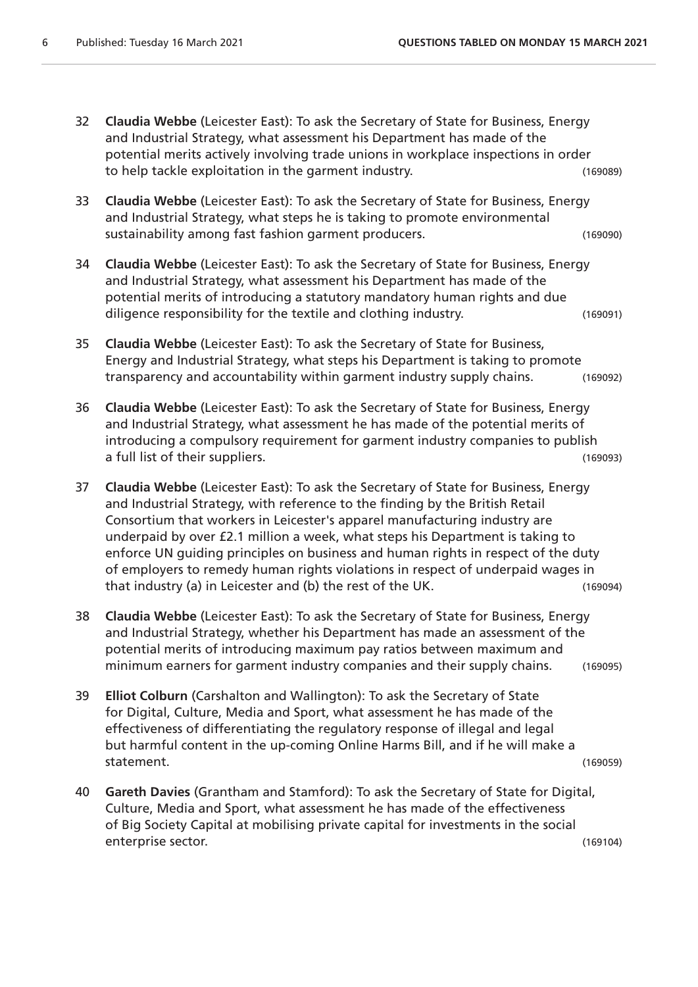- 32 **Claudia Webbe** (Leicester East): To ask the Secretary of State for Business, Energy and Industrial Strategy, what assessment his Department has made of the potential merits actively involving trade unions in workplace inspections in order to help tackle exploitation in the garment industry. The same of the control of the state of the control of the the control of the control of the control of the control of the control of the control of the control of the c
- 33 **Claudia Webbe** (Leicester East): To ask the Secretary of State for Business, Energy and Industrial Strategy, what steps he is taking to promote environmental sustainability among fast fashion garment producers. (169090)
- 34 **Claudia Webbe** (Leicester East): To ask the Secretary of State for Business, Energy and Industrial Strategy, what assessment his Department has made of the potential merits of introducing a statutory mandatory human rights and due diligence responsibility for the textile and clothing industry. (169091)
- 35 **Claudia Webbe** (Leicester East): To ask the Secretary of State for Business, Energy and Industrial Strategy, what steps his Department is taking to promote transparency and accountability within garment industry supply chains. (169092)
- 36 **Claudia Webbe** (Leicester East): To ask the Secretary of State for Business, Energy and Industrial Strategy, what assessment he has made of the potential merits of introducing a compulsory requirement for garment industry companies to publish a full list of their suppliers. (169093)
- 37 **Claudia Webbe** (Leicester East): To ask the Secretary of State for Business, Energy and Industrial Strategy, with reference to the finding by the British Retail Consortium that workers in Leicester's apparel manufacturing industry are underpaid by over £2.1 million a week, what steps his Department is taking to enforce UN guiding principles on business and human rights in respect of the duty of employers to remedy human rights violations in respect of underpaid wages in that industry (a) in Leicester and (b) the rest of the UK. (169094)
- 38 **Claudia Webbe** (Leicester East): To ask the Secretary of State for Business, Energy and Industrial Strategy, whether his Department has made an assessment of the potential merits of introducing maximum pay ratios between maximum and minimum earners for garment industry companies and their supply chains. (169095)
- 39 **Elliot Colburn** (Carshalton and Wallington): To ask the Secretary of State for Digital, Culture, Media and Sport, what assessment he has made of the effectiveness of differentiating the regulatory response of illegal and legal but harmful content in the up-coming Online Harms Bill, and if he will make a statement. (169059)
- 40 **Gareth Davies** (Grantham and Stamford): To ask the Secretary of State for Digital, Culture, Media and Sport, what assessment he has made of the effectiveness of Big Society Capital at mobilising private capital for investments in the social enterprise sector. (169104)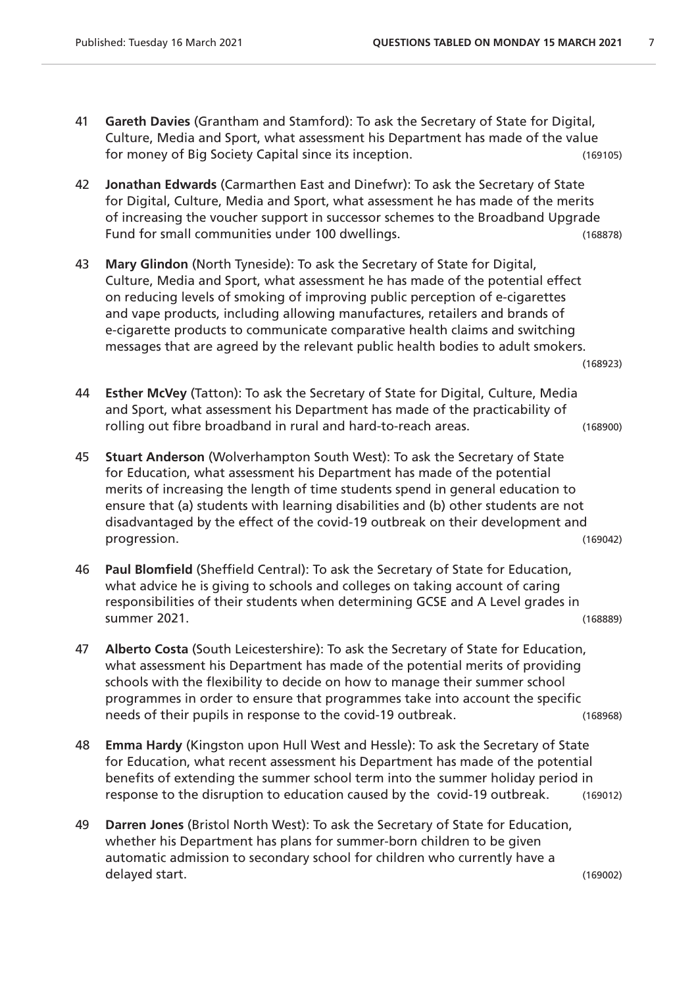- 41 **Gareth Davies** (Grantham and Stamford): To ask the Secretary of State for Digital, Culture, Media and Sport, what assessment his Department has made of the value for money of Big Society Capital since its inception. (169105)
- 42 **Jonathan Edwards** (Carmarthen East and Dinefwr): To ask the Secretary of State for Digital, Culture, Media and Sport, what assessment he has made of the merits of increasing the voucher support in successor schemes to the Broadband Upgrade Fund for small communities under 100 dwellings. (168878)
- 43 **Mary Glindon** (North Tyneside): To ask the Secretary of State for Digital, Culture, Media and Sport, what assessment he has made of the potential effect on reducing levels of smoking of improving public perception of e-cigarettes and vape products, including allowing manufactures, retailers and brands of e-cigarette products to communicate comparative health claims and switching messages that are agreed by the relevant public health bodies to adult smokers.

(168923)

44 **Esther McVey** (Tatton): To ask the Secretary of State for Digital, Culture, Media and Sport, what assessment his Department has made of the practicability of rolling out fibre broadband in rural and hard-to-reach areas. (168900)

- 45 **Stuart Anderson** (Wolverhampton South West): To ask the Secretary of State for Education, what assessment his Department has made of the potential merits of increasing the length of time students spend in general education to ensure that (a) students with learning disabilities and (b) other students are not disadvantaged by the effect of the covid-19 outbreak on their development and progression. (169042)
- 46 **Paul Blomfield** (Sheffield Central): To ask the Secretary of State for Education, what advice he is giving to schools and colleges on taking account of caring responsibilities of their students when determining GCSE and A Level grades in summer 2021. (168889)
- 47 **Alberto Costa** (South Leicestershire): To ask the Secretary of State for Education, what assessment his Department has made of the potential merits of providing schools with the flexibility to decide on how to manage their summer school programmes in order to ensure that programmes take into account the specific needs of their pupils in response to the covid-19 outbreak. (168968)
- 48 **Emma Hardy** (Kingston upon Hull West and Hessle): To ask the Secretary of State for Education, what recent assessment his Department has made of the potential benefits of extending the summer school term into the summer holiday period in response to the disruption to education caused by the covid-19 outbreak. (169012)
- 49 **Darren Jones** (Bristol North West): To ask the Secretary of State for Education, whether his Department has plans for summer-born children to be given automatic admission to secondary school for children who currently have a delayed start. (169002)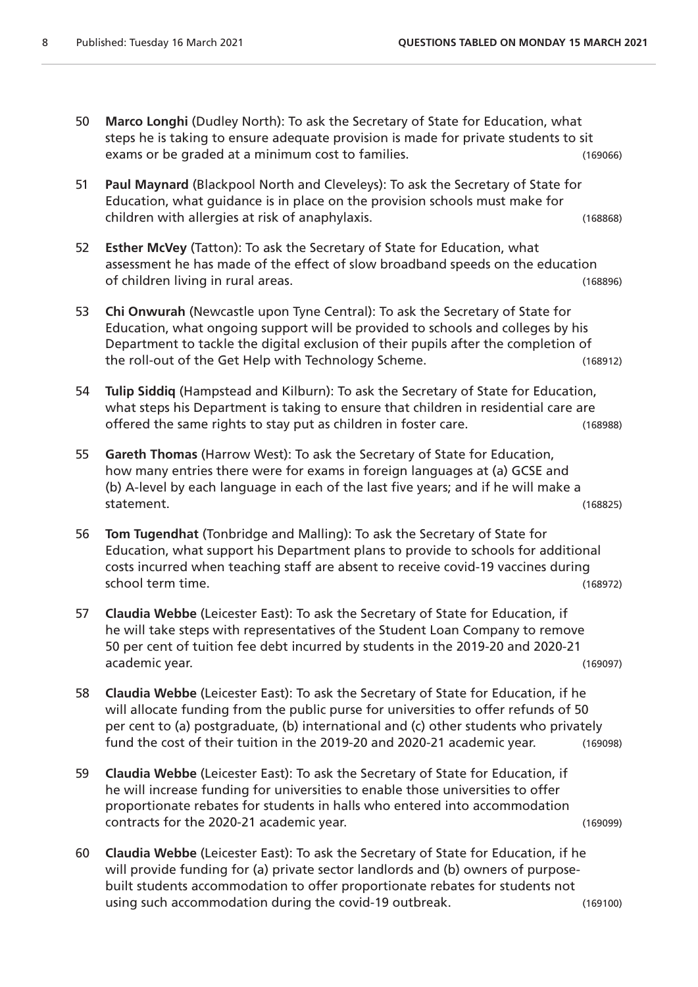- 50 **Marco Longhi** (Dudley North): To ask the Secretary of State for Education, what steps he is taking to ensure adequate provision is made for private students to sit exams or be graded at a minimum cost to families. (169066)
- 51 **Paul Maynard** (Blackpool North and Cleveleys): To ask the Secretary of State for Education, what guidance is in place on the provision schools must make for children with allergies at risk of anaphylaxis. (168868)
- 52 **Esther McVey** (Tatton): To ask the Secretary of State for Education, what assessment he has made of the effect of slow broadband speeds on the education of children living in rural areas. (168896)
- 53 **Chi Onwurah** (Newcastle upon Tyne Central): To ask the Secretary of State for Education, what ongoing support will be provided to schools and colleges by his Department to tackle the digital exclusion of their pupils after the completion of the roll-out of the Get Help with Technology Scheme. (168912)
- 54 **Tulip Siddiq** (Hampstead and Kilburn): To ask the Secretary of State for Education, what steps his Department is taking to ensure that children in residential care are offered the same rights to stay put as children in foster care. (168988)
- 55 **Gareth Thomas** (Harrow West): To ask the Secretary of State for Education, how many entries there were for exams in foreign languages at (a) GCSE and (b) A-level by each language in each of the last five years; and if he will make a statement. (168825)
- 56 **Tom Tugendhat** (Tonbridge and Malling): To ask the Secretary of State for Education, what support his Department plans to provide to schools for additional costs incurred when teaching staff are absent to receive covid-19 vaccines during school term time. (168972)
- 57 **Claudia Webbe** (Leicester East): To ask the Secretary of State for Education, if he will take steps with representatives of the Student Loan Company to remove 50 per cent of tuition fee debt incurred by students in the 2019-20 and 2020-21 academic year. (169097)
- 58 **Claudia Webbe** (Leicester East): To ask the Secretary of State for Education, if he will allocate funding from the public purse for universities to offer refunds of 50 per cent to (a) postgraduate, (b) international and (c) other students who privately fund the cost of their tuition in the 2019-20 and 2020-21 academic year. (169098)
- 59 **Claudia Webbe** (Leicester East): To ask the Secretary of State for Education, if he will increase funding for universities to enable those universities to offer proportionate rebates for students in halls who entered into accommodation contracts for the 2020-21 academic year. (169099)
- 60 **Claudia Webbe** (Leicester East): To ask the Secretary of State for Education, if he will provide funding for (a) private sector landlords and (b) owners of purposebuilt students accommodation to offer proportionate rebates for students not using such accommodation during the covid-19 outbreak. (169100)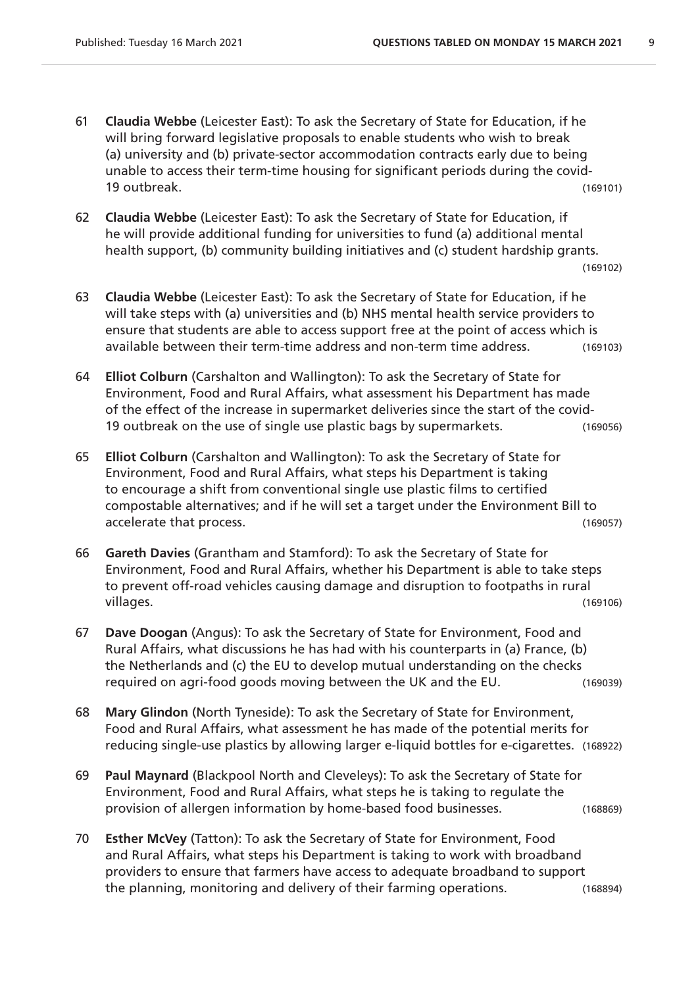- 61 **Claudia Webbe** (Leicester East): To ask the Secretary of State for Education, if he will bring forward legislative proposals to enable students who wish to break (a) university and (b) private-sector accommodation contracts early due to being unable to access their term-time housing for significant periods during the covid-19 outbreak. (169101)
- 62 **Claudia Webbe** (Leicester East): To ask the Secretary of State for Education, if he will provide additional funding for universities to fund (a) additional mental health support, (b) community building initiatives and (c) student hardship grants.

```
(169102)
```
- 63 **Claudia Webbe** (Leicester East): To ask the Secretary of State for Education, if he will take steps with (a) universities and (b) NHS mental health service providers to ensure that students are able to access support free at the point of access which is available between their term-time address and non-term time address. (169103)
- 64 **Elliot Colburn** (Carshalton and Wallington): To ask the Secretary of State for Environment, Food and Rural Affairs, what assessment his Department has made of the effect of the increase in supermarket deliveries since the start of the covid-19 outbreak on the use of single use plastic bags by supermarkets. (169056)
- 65 **Elliot Colburn** (Carshalton and Wallington): To ask the Secretary of State for Environment, Food and Rural Affairs, what steps his Department is taking to encourage a shift from conventional single use plastic films to certified compostable alternatives; and if he will set a target under the Environment Bill to accelerate that process. (169057)
- 66 **Gareth Davies** (Grantham and Stamford): To ask the Secretary of State for Environment, Food and Rural Affairs, whether his Department is able to take steps to prevent off-road vehicles causing damage and disruption to footpaths in rural villages. (169106)
- 67 **Dave Doogan** (Angus): To ask the Secretary of State for Environment, Food and Rural Affairs, what discussions he has had with his counterparts in (a) France, (b) the Netherlands and (c) the EU to develop mutual understanding on the checks required on agri-food goods moving between the UK and the EU. (169039)
- 68 **Mary Glindon** (North Tyneside): To ask the Secretary of State for Environment, Food and Rural Affairs, what assessment he has made of the potential merits for reducing single-use plastics by allowing larger e-liquid bottles for e-cigarettes. (168922)
- 69 **Paul Maynard** (Blackpool North and Cleveleys): To ask the Secretary of State for Environment, Food and Rural Affairs, what steps he is taking to regulate the provision of allergen information by home-based food businesses. (168869)
- 70 **Esther McVey** (Tatton): To ask the Secretary of State for Environment, Food and Rural Affairs, what steps his Department is taking to work with broadband providers to ensure that farmers have access to adequate broadband to support the planning, monitoring and delivery of their farming operations. (168894)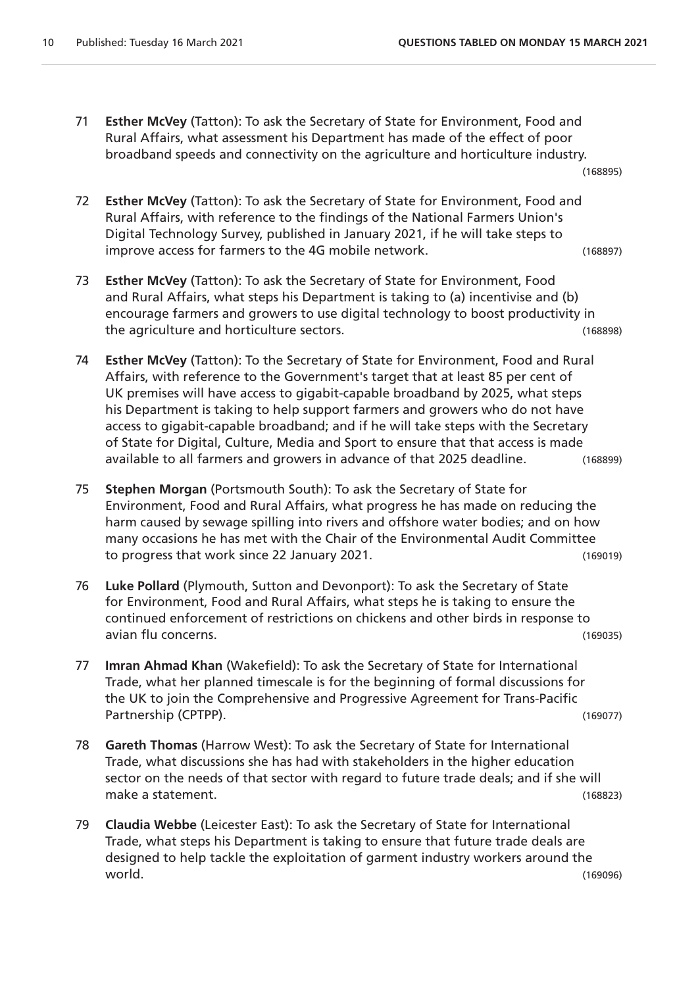71 **Esther McVey** (Tatton): To ask the Secretary of State for Environment, Food and Rural Affairs, what assessment his Department has made of the effect of poor broadband speeds and connectivity on the agriculture and horticulture industry.

(168895)

- 72 **Esther McVey** (Tatton): To ask the Secretary of State for Environment, Food and Rural Affairs, with reference to the findings of the National Farmers Union's Digital Technology Survey, published in January 2021, if he will take steps to improve access for farmers to the 4G mobile network. (168897)
- 73 **Esther McVey** (Tatton): To ask the Secretary of State for Environment, Food and Rural Affairs, what steps his Department is taking to (a) incentivise and (b) encourage farmers and growers to use digital technology to boost productivity in the agriculture and horticulture sectors. (168898)
- 74 **Esther McVey** (Tatton): To the Secretary of State for Environment, Food and Rural Affairs, with reference to the Government's target that at least 85 per cent of UK premises will have access to gigabit-capable broadband by 2025, what steps his Department is taking to help support farmers and growers who do not have access to gigabit-capable broadband; and if he will take steps with the Secretary of State for Digital, Culture, Media and Sport to ensure that that access is made available to all farmers and growers in advance of that 2025 deadline. (168899)
- 75 **Stephen Morgan** (Portsmouth South): To ask the Secretary of State for Environment, Food and Rural Affairs, what progress he has made on reducing the harm caused by sewage spilling into rivers and offshore water bodies; and on how many occasions he has met with the Chair of the Environmental Audit Committee to progress that work since 22 January 2021.
- 76 **Luke Pollard** (Plymouth, Sutton and Devonport): To ask the Secretary of State for Environment, Food and Rural Affairs, what steps he is taking to ensure the continued enforcement of restrictions on chickens and other birds in response to avian flu concerns. (169035)
- 77 **Imran Ahmad Khan** (Wakefield): To ask the Secretary of State for International Trade, what her planned timescale is for the beginning of formal discussions for the UK to join the Comprehensive and Progressive Agreement for Trans-Pacific Partnership (CPTPP). (169077)
- 78 **Gareth Thomas** (Harrow West): To ask the Secretary of State for International Trade, what discussions she has had with stakeholders in the higher education sector on the needs of that sector with regard to future trade deals; and if she will make a statement. (168823)
- 79 **Claudia Webbe** (Leicester East): To ask the Secretary of State for International Trade, what steps his Department is taking to ensure that future trade deals are designed to help tackle the exploitation of garment industry workers around the world. (169096)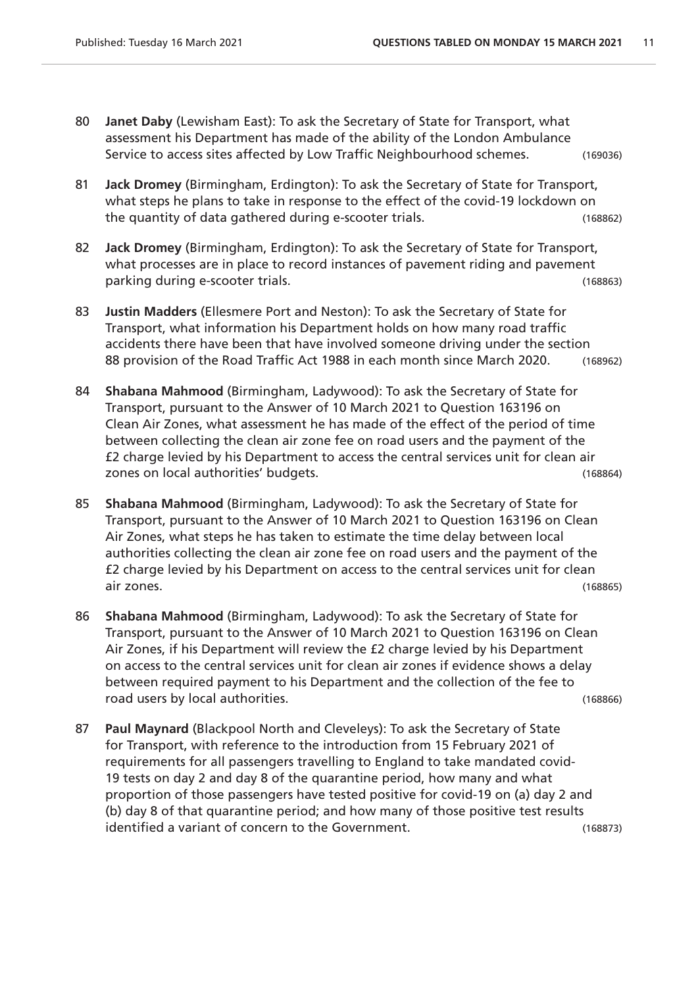- 80 **Janet Daby** (Lewisham East): To ask the Secretary of State for Transport, what assessment his Department has made of the ability of the London Ambulance Service to access sites affected by Low Traffic Neighbourhood schemes. (169036)
- 81 **Jack Dromey** (Birmingham, Erdington): To ask the Secretary of State for Transport, what steps he plans to take in response to the effect of the covid-19 lockdown on the quantity of data gathered during e-scooter trials. (168862)
- 82 **Jack Dromey** (Birmingham, Erdington): To ask the Secretary of State for Transport, what processes are in place to record instances of pavement riding and pavement parking during e-scooter trials. (168863)
- 83 **Justin Madders** (Ellesmere Port and Neston): To ask the Secretary of State for Transport, what information his Department holds on how many road traffic accidents there have been that have involved someone driving under the section 88 provision of the Road Traffic Act 1988 in each month since March 2020. (168962)
- 84 **Shabana Mahmood** (Birmingham, Ladywood): To ask the Secretary of State for Transport, pursuant to the Answer of 10 March 2021 to Question 163196 on Clean Air Zones, what assessment he has made of the effect of the period of time between collecting the clean air zone fee on road users and the payment of the £2 charge levied by his Department to access the central services unit for clean air zones on local authorities' budgets. The control of the control of the control of the control of the control o
- 85 **Shabana Mahmood** (Birmingham, Ladywood): To ask the Secretary of State for Transport, pursuant to the Answer of 10 March 2021 to Question 163196 on Clean Air Zones, what steps he has taken to estimate the time delay between local authorities collecting the clean air zone fee on road users and the payment of the £2 charge levied by his Department on access to the central services unit for clean air zones. (168865)
- 86 **Shabana Mahmood** (Birmingham, Ladywood): To ask the Secretary of State for Transport, pursuant to the Answer of 10 March 2021 to Question 163196 on Clean Air Zones, if his Department will review the £2 charge levied by his Department on access to the central services unit for clean air zones if evidence shows a delay between required payment to his Department and the collection of the fee to road users by local authorities. The contract of the contract of the contract of the contract of the contract of the contract of the contract of the contract of the contract of the contract of the contract of the contract
- 87 **Paul Maynard** (Blackpool North and Cleveleys): To ask the Secretary of State for Transport, with reference to the introduction from 15 February 2021 of requirements for all passengers travelling to England to take mandated covid-19 tests on day 2 and day 8 of the quarantine period, how many and what proportion of those passengers have tested positive for covid-19 on (a) day 2 and (b) day 8 of that quarantine period; and how many of those positive test results identified a variant of concern to the Government. (168873)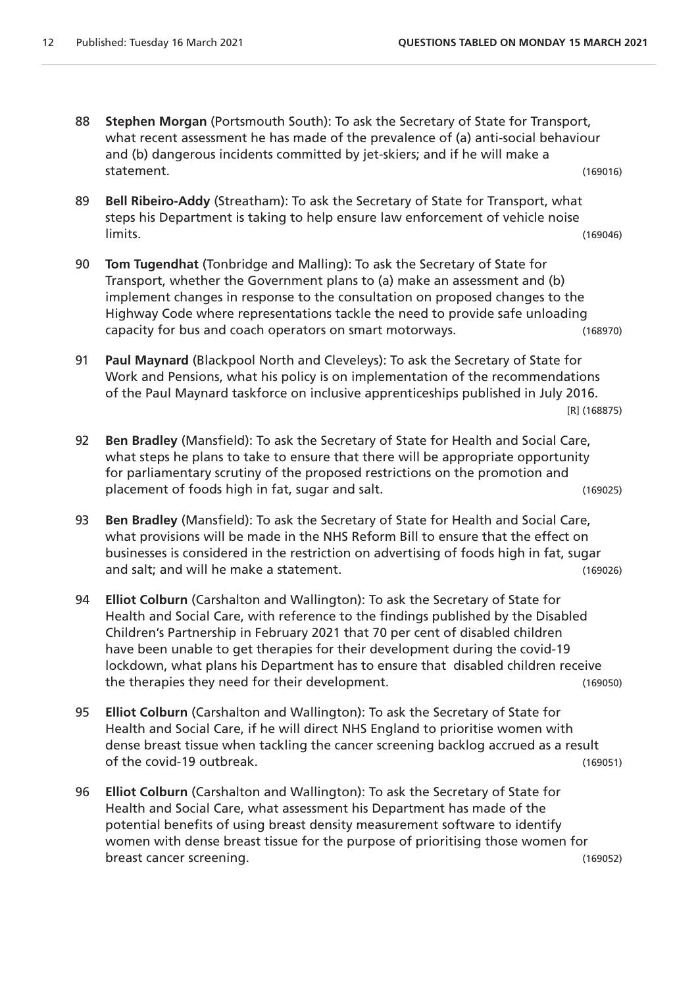- 88 **Stephen Morgan** (Portsmouth South): To ask the Secretary of State for Transport, what recent assessment he has made of the prevalence of (a) anti-social behaviour and (b) dangerous incidents committed by jet-skiers; and if he will make a statement. (169016)
- 89 **Bell Ribeiro-Addy** (Streatham): To ask the Secretary of State for Transport, what steps his Department is taking to help ensure law enforcement of vehicle noise limits. (169046)
- 90 **Tom Tugendhat** (Tonbridge and Malling): To ask the Secretary of State for Transport, whether the Government plans to (a) make an assessment and (b) implement changes in response to the consultation on proposed changes to the Highway Code where representations tackle the need to provide safe unloading capacity for bus and coach operators on smart motorways. (168970)
- 91 **Paul Maynard** (Blackpool North and Cleveleys): To ask the Secretary of State for Work and Pensions, what his policy is on implementation of the recommendations of the Paul Maynard taskforce on inclusive apprenticeships published in July 2016. [R] (168875)
- 92 **Ben Bradley** (Mansfield): To ask the Secretary of State for Health and Social Care, what steps he plans to take to ensure that there will be appropriate opportunity for parliamentary scrutiny of the proposed restrictions on the promotion and placement of foods high in fat, sugar and salt. (169025)
- 93 **Ben Bradley** (Mansfield): To ask the Secretary of State for Health and Social Care, what provisions will be made in the NHS Reform Bill to ensure that the effect on businesses is considered in the restriction on advertising of foods high in fat, sugar and salt; and will he make a statement. (169026)
- 94 **Elliot Colburn** (Carshalton and Wallington): To ask the Secretary of State for Health and Social Care, with reference to the findings published by the Disabled Children's Partnership in February 2021 that 70 per cent of disabled children have been unable to get therapies for their development during the covid-19 lockdown, what plans his Department has to ensure that disabled children receive the therapies they need for their development. (169050)
- 95 **Elliot Colburn** (Carshalton and Wallington): To ask the Secretary of State for Health and Social Care, if he will direct NHS England to prioritise women with dense breast tissue when tackling the cancer screening backlog accrued as a result of the covid-19 outbreak. (169051)
- 96 **Elliot Colburn** (Carshalton and Wallington): To ask the Secretary of State for Health and Social Care, what assessment his Department has made of the potential benefits of using breast density measurement software to identify women with dense breast tissue for the purpose of prioritising those women for breast cancer screening. (169052)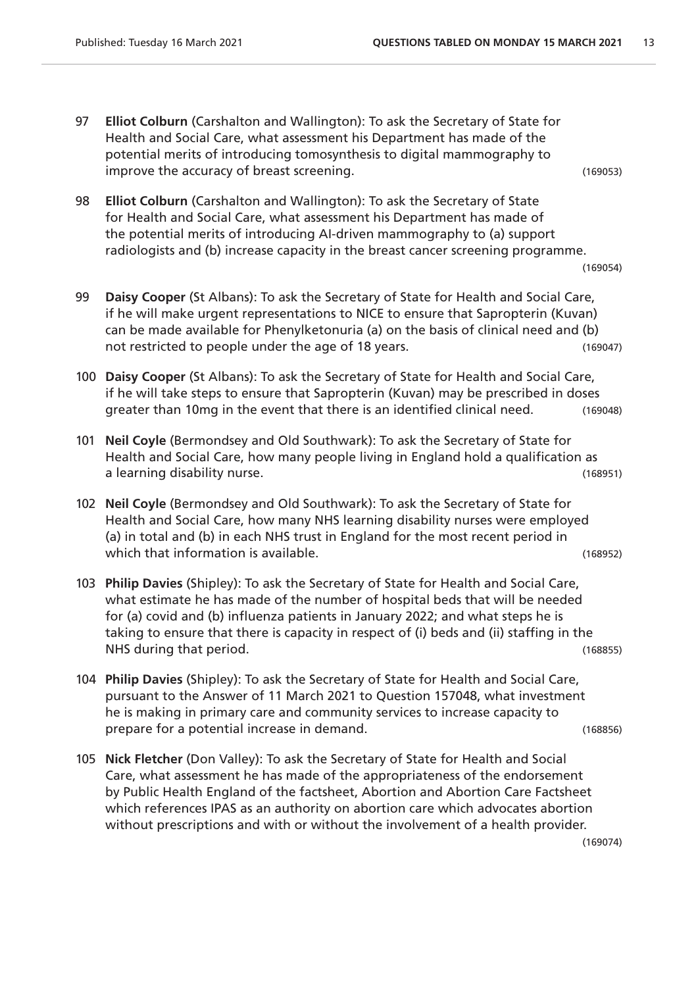97 **Elliot Colburn** (Carshalton and Wallington): To ask the Secretary of State for Health and Social Care, what assessment his Department has made of the potential merits of introducing tomosynthesis to digital mammography to improve the accuracy of breast screening. (169053)

98 **Elliot Colburn** (Carshalton and Wallington): To ask the Secretary of State for Health and Social Care, what assessment his Department has made of the potential merits of introducing AI-driven mammography to (a) support radiologists and (b) increase capacity in the breast cancer screening programme.

```
(169054)
```
- 99 **Daisy Cooper** (St Albans): To ask the Secretary of State for Health and Social Care, if he will make urgent representations to NICE to ensure that Sapropterin (Kuvan) can be made available for Phenylketonuria (a) on the basis of clinical need and (b) not restricted to people under the age of 18 years. (169047)
- 100 **Daisy Cooper** (St Albans): To ask the Secretary of State for Health and Social Care, if he will take steps to ensure that Sapropterin (Kuvan) may be prescribed in doses greater than 10mg in the event that there is an identified clinical need. (169048)
- 101 **Neil Coyle** (Bermondsey and Old Southwark): To ask the Secretary of State for Health and Social Care, how many people living in England hold a qualification as a learning disability nurse. (168951)
- 102 **Neil Coyle** (Bermondsey and Old Southwark): To ask the Secretary of State for Health and Social Care, how many NHS learning disability nurses were employed (a) in total and (b) in each NHS trust in England for the most recent period in which that information is available. The same state of the state of the state (168952)
- 103 **Philip Davies** (Shipley): To ask the Secretary of State for Health and Social Care, what estimate he has made of the number of hospital beds that will be needed for (a) covid and (b) influenza patients in January 2022; and what steps he is taking to ensure that there is capacity in respect of (i) beds and (ii) staffing in the NHS during that period. (168855)
- 104 **Philip Davies** (Shipley): To ask the Secretary of State for Health and Social Care, pursuant to the Answer of 11 March 2021 to Question 157048, what investment he is making in primary care and community services to increase capacity to prepare for a potential increase in demand. (168856)
- 105 **Nick Fletcher** (Don Valley): To ask the Secretary of State for Health and Social Care, what assessment he has made of the appropriateness of the endorsement by Public Health England of the factsheet, Abortion and Abortion Care Factsheet which references IPAS as an authority on abortion care which advocates abortion without prescriptions and with or without the involvement of a health provider.

(169074)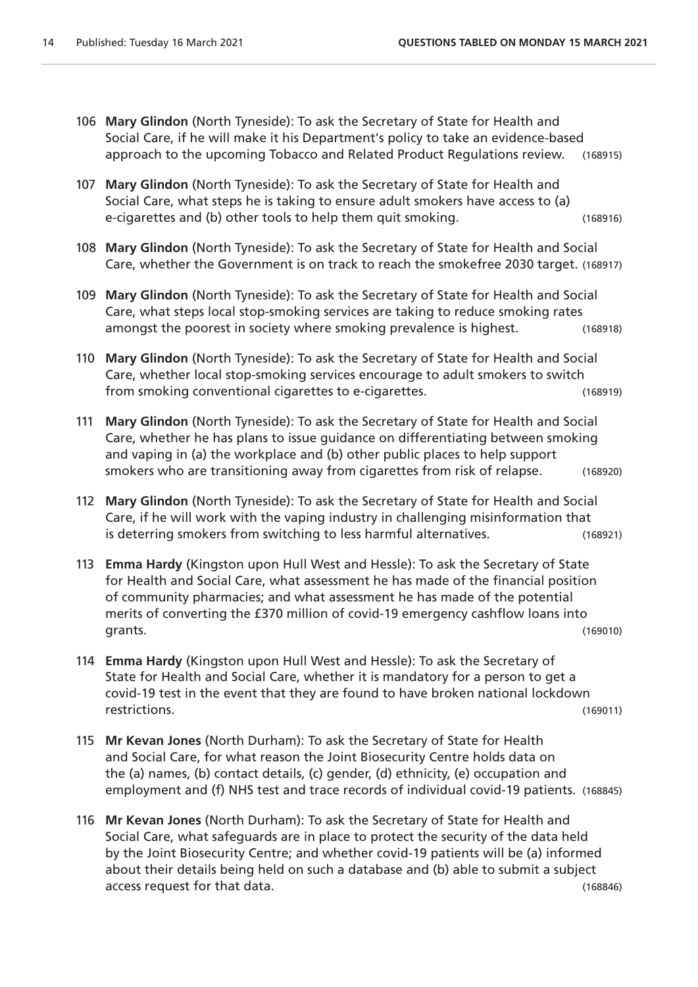- 106 **Mary Glindon** (North Tyneside): To ask the Secretary of State for Health and Social Care, if he will make it his Department's policy to take an evidence-based approach to the upcoming Tobacco and Related Product Regulations review. (168915)
- 107 **Mary Glindon** (North Tyneside): To ask the Secretary of State for Health and Social Care, what steps he is taking to ensure adult smokers have access to (a) e-cigarettes and (b) other tools to help them quit smoking. (168916)
- 108 **Mary Glindon** (North Tyneside): To ask the Secretary of State for Health and Social Care, whether the Government is on track to reach the smokefree 2030 target. (168917)
- 109 **Mary Glindon** (North Tyneside): To ask the Secretary of State for Health and Social Care, what steps local stop-smoking services are taking to reduce smoking rates amongst the poorest in society where smoking prevalence is highest. (168918)
- 110 **Mary Glindon** (North Tyneside): To ask the Secretary of State for Health and Social Care, whether local stop-smoking services encourage to adult smokers to switch from smoking conventional cigarettes to e-cigarettes. (168919)
- 111 **Mary Glindon** (North Tyneside): To ask the Secretary of State for Health and Social Care, whether he has plans to issue guidance on differentiating between smoking and vaping in (a) the workplace and (b) other public places to help support smokers who are transitioning away from cigarettes from risk of relapse. (168920)
- 112 **Mary Glindon** (North Tyneside): To ask the Secretary of State for Health and Social Care, if he will work with the vaping industry in challenging misinformation that is deterring smokers from switching to less harmful alternatives. (168921)
- 113 **Emma Hardy** (Kingston upon Hull West and Hessle): To ask the Secretary of State for Health and Social Care, what assessment he has made of the financial position of community pharmacies; and what assessment he has made of the potential merits of converting the £370 million of covid-19 emergency cashflow loans into grants. (169010)
- 114 **Emma Hardy** (Kingston upon Hull West and Hessle): To ask the Secretary of State for Health and Social Care, whether it is mandatory for a person to get a covid-19 test in the event that they are found to have broken national lockdown restrictions. (169011)
- 115 **Mr Kevan Jones** (North Durham): To ask the Secretary of State for Health and Social Care, for what reason the Joint Biosecurity Centre holds data on the (a) names, (b) contact details, (c) gender, (d) ethnicity, (e) occupation and employment and (f) NHS test and trace records of individual covid-19 patients. (168845)
- 116 **Mr Kevan Jones** (North Durham): To ask the Secretary of State for Health and Social Care, what safeguards are in place to protect the security of the data held by the Joint Biosecurity Centre; and whether covid-19 patients will be (a) informed about their details being held on such a database and (b) able to submit a subject access request for that data. (168846)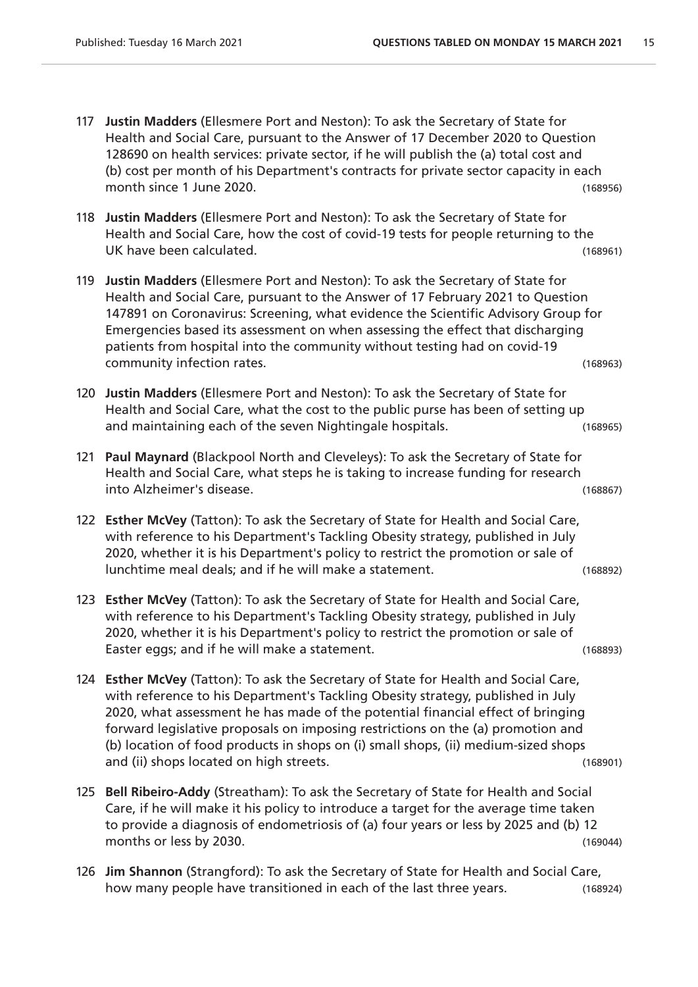- 117 **Justin Madders** (Ellesmere Port and Neston): To ask the Secretary of State for Health and Social Care, pursuant to the Answer of 17 December 2020 to Question 128690 on health services: private sector, if he will publish the (a) total cost and (b) cost per month of his Department's contracts for private sector capacity in each month since 1 June 2020. (168956)
- 118 **Justin Madders** (Ellesmere Port and Neston): To ask the Secretary of State for Health and Social Care, how the cost of covid-19 tests for people returning to the UK have been calculated. (168961)
- 119 **Justin Madders** (Ellesmere Port and Neston): To ask the Secretary of State for Health and Social Care, pursuant to the Answer of 17 February 2021 to Question 147891 on Coronavirus: Screening, what evidence the Scientific Advisory Group for Emergencies based its assessment on when assessing the effect that discharging patients from hospital into the community without testing had on covid-19 community infection rates. (168963)
- 120 **Justin Madders** (Ellesmere Port and Neston): To ask the Secretary of State for Health and Social Care, what the cost to the public purse has been of setting up and maintaining each of the seven Nightingale hospitals. (168965)
- 121 **Paul Maynard** (Blackpool North and Cleveleys): To ask the Secretary of State for Health and Social Care, what steps he is taking to increase funding for research into Alzheimer's disease. (168867)
- 122 **Esther McVey** (Tatton): To ask the Secretary of State for Health and Social Care, with reference to his Department's Tackling Obesity strategy, published in July 2020, whether it is his Department's policy to restrict the promotion or sale of lunchtime meal deals; and if he will make a statement. (168892)
- 123 **Esther McVey** (Tatton): To ask the Secretary of State for Health and Social Care, with reference to his Department's Tackling Obesity strategy, published in July 2020, whether it is his Department's policy to restrict the promotion or sale of Easter eggs; and if he will make a statement. (168893)
- 124 **Esther McVey** (Tatton): To ask the Secretary of State for Health and Social Care, with reference to his Department's Tackling Obesity strategy, published in July 2020, what assessment he has made of the potential financial effect of bringing forward legislative proposals on imposing restrictions on the (a) promotion and (b) location of food products in shops on (i) small shops, (ii) medium-sized shops and (ii) shops located on high streets. (168901)
- 125 **Bell Ribeiro-Addy** (Streatham): To ask the Secretary of State for Health and Social Care, if he will make it his policy to introduce a target for the average time taken to provide a diagnosis of endometriosis of (a) four years or less by 2025 and (b) 12 months or less by 2030. (169044)
- 126 **Jim Shannon** (Strangford): To ask the Secretary of State for Health and Social Care, how many people have transitioned in each of the last three years. (168924)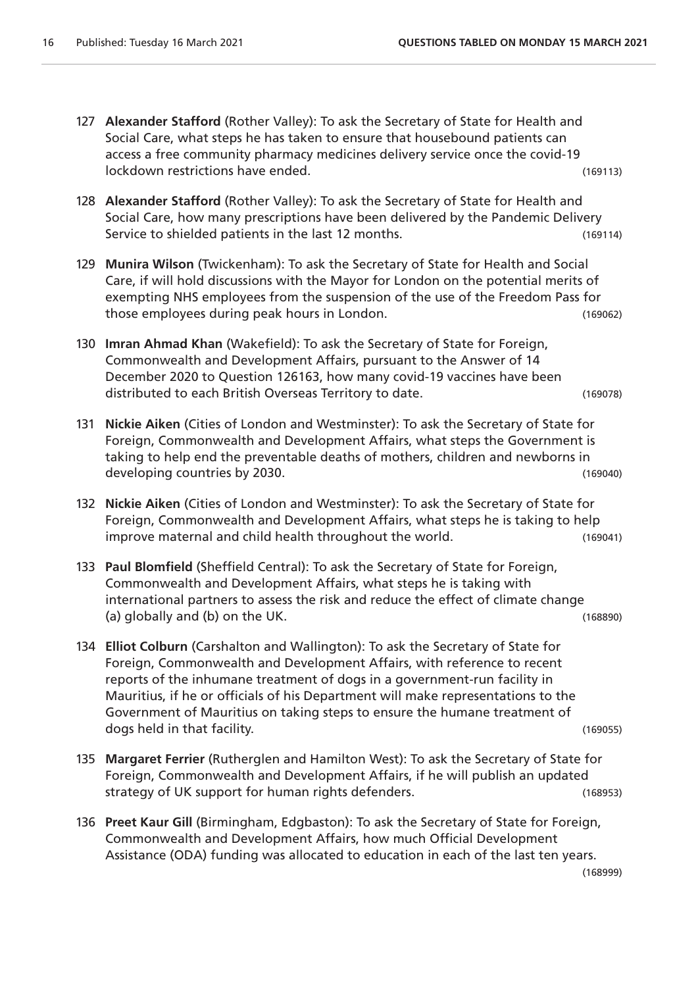- 127 **Alexander Stafford** (Rother Valley): To ask the Secretary of State for Health and Social Care, what steps he has taken to ensure that housebound patients can access a free community pharmacy medicines delivery service once the covid-19 lockdown restrictions have ended. (169113)
- 128 **Alexander Stafford** (Rother Valley): To ask the Secretary of State for Health and Social Care, how many prescriptions have been delivered by the Pandemic Delivery Service to shielded patients in the last 12 months. (169114)
- 129 **Munira Wilson** (Twickenham): To ask the Secretary of State for Health and Social Care, if will hold discussions with the Mayor for London on the potential merits of exempting NHS employees from the suspension of the use of the Freedom Pass for those employees during peak hours in London. (169062)
- 130 **Imran Ahmad Khan** (Wakefield): To ask the Secretary of State for Foreign, Commonwealth and Development Affairs, pursuant to the Answer of 14 December 2020 to Question 126163, how many covid-19 vaccines have been distributed to each British Overseas Territory to date. (169078)
- 131 **Nickie Aiken** (Cities of London and Westminster): To ask the Secretary of State for Foreign, Commonwealth and Development Affairs, what steps the Government is taking to help end the preventable deaths of mothers, children and newborns in developing countries by 2030. (169040)
- 132 **Nickie Aiken** (Cities of London and Westminster): To ask the Secretary of State for Foreign, Commonwealth and Development Affairs, what steps he is taking to help improve maternal and child health throughout the world. (169041)
- 133 **Paul Blomfield** (Sheffield Central): To ask the Secretary of State for Foreign, Commonwealth and Development Affairs, what steps he is taking with international partners to assess the risk and reduce the effect of climate change (a) globally and (b) on the UK. (168890)
- 134 **Elliot Colburn** (Carshalton and Wallington): To ask the Secretary of State for Foreign, Commonwealth and Development Affairs, with reference to recent reports of the inhumane treatment of dogs in a government-run facility in Mauritius, if he or officials of his Department will make representations to the Government of Mauritius on taking steps to ensure the humane treatment of dogs held in that facility. (169055)
- 135 **Margaret Ferrier** (Rutherglen and Hamilton West): To ask the Secretary of State for Foreign, Commonwealth and Development Affairs, if he will publish an updated strategy of UK support for human rights defenders. (168953)
- 136 **Preet Kaur Gill** (Birmingham, Edgbaston): To ask the Secretary of State for Foreign, Commonwealth and Development Affairs, how much Official Development Assistance (ODA) funding was allocated to education in each of the last ten years.

(168999)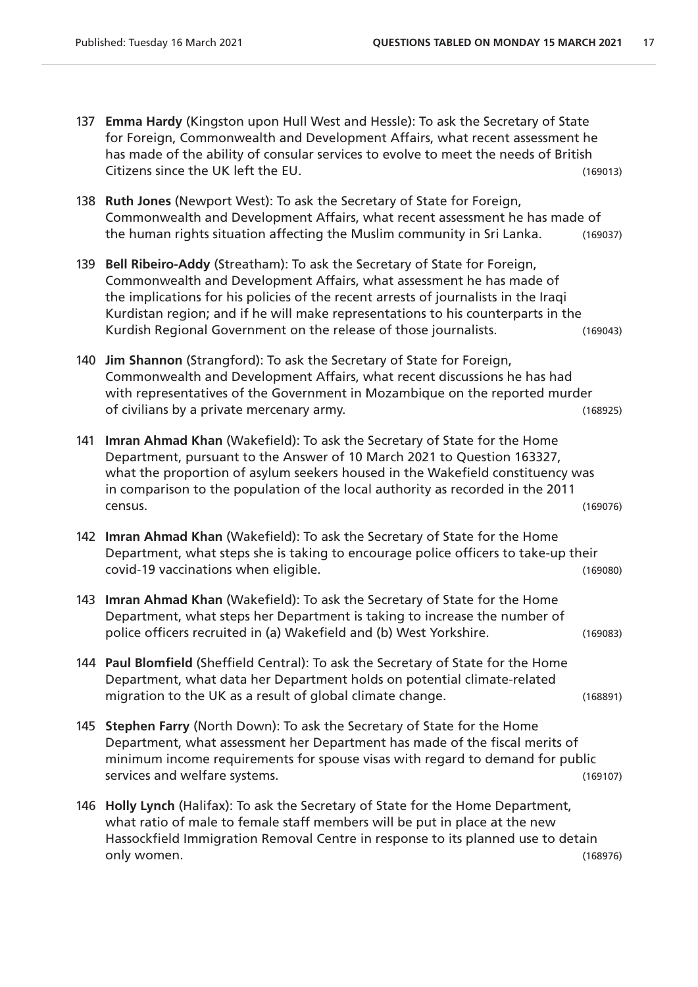- 137 **Emma Hardy** (Kingston upon Hull West and Hessle): To ask the Secretary of State for Foreign, Commonwealth and Development Affairs, what recent assessment he has made of the ability of consular services to evolve to meet the needs of British Citizens since the UK left the EU. (169013)
- 138 **Ruth Jones** (Newport West): To ask the Secretary of State for Foreign, Commonwealth and Development Affairs, what recent assessment he has made of the human rights situation affecting the Muslim community in Sri Lanka. (169037)
- 139 **Bell Ribeiro-Addy** (Streatham): To ask the Secretary of State for Foreign, Commonwealth and Development Affairs, what assessment he has made of the implications for his policies of the recent arrests of journalists in the Iraqi Kurdistan region; and if he will make representations to his counterparts in the Kurdish Regional Government on the release of those journalists. (169043)
- 140 **Jim Shannon** (Strangford): To ask the Secretary of State for Foreign, Commonwealth and Development Affairs, what recent discussions he has had with representatives of the Government in Mozambique on the reported murder of civilians by a private mercenary army. (168925)
- 141 **Imran Ahmad Khan** (Wakefield): To ask the Secretary of State for the Home Department, pursuant to the Answer of 10 March 2021 to Question 163327, what the proportion of asylum seekers housed in the Wakefield constituency was in comparison to the population of the local authority as recorded in the 2011 census. (169076)
- 142 **Imran Ahmad Khan** (Wakefield): To ask the Secretary of State for the Home Department, what steps she is taking to encourage police officers to take-up their covid-19 vaccinations when eligible. (169080)
- 143 **Imran Ahmad Khan** (Wakefield): To ask the Secretary of State for the Home Department, what steps her Department is taking to increase the number of police officers recruited in (a) Wakefield and (b) West Yorkshire. (169083)
- 144 **Paul Blomfield** (Sheffield Central): To ask the Secretary of State for the Home Department, what data her Department holds on potential climate-related migration to the UK as a result of global climate change. (168891)
- 145 **Stephen Farry** (North Down): To ask the Secretary of State for the Home Department, what assessment her Department has made of the fiscal merits of minimum income requirements for spouse visas with regard to demand for public services and welfare systems. (169107)
- 146 **Holly Lynch** (Halifax): To ask the Secretary of State for the Home Department, what ratio of male to female staff members will be put in place at the new Hassockfield Immigration Removal Centre in response to its planned use to detain only women. (168976)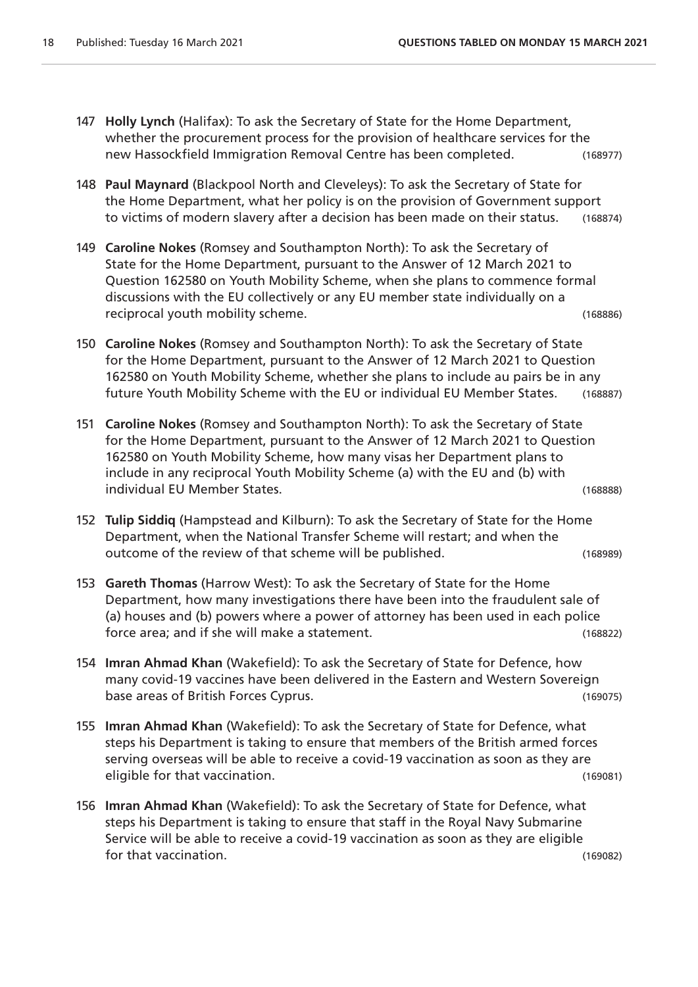- 147 **Holly Lynch** (Halifax): To ask the Secretary of State for the Home Department, whether the procurement process for the provision of healthcare services for the new Hassockfield Immigration Removal Centre has been completed. (168977)
- 148 **Paul Maynard** (Blackpool North and Cleveleys): To ask the Secretary of State for the Home Department, what her policy is on the provision of Government support to victims of modern slavery after a decision has been made on their status. (168874)
- 149 **Caroline Nokes** (Romsey and Southampton North): To ask the Secretary of State for the Home Department, pursuant to the Answer of 12 March 2021 to Question 162580 on Youth Mobility Scheme, when she plans to commence formal discussions with the EU collectively or any EU member state individually on a reciprocal youth mobility scheme. (168886)
- 150 **Caroline Nokes** (Romsey and Southampton North): To ask the Secretary of State for the Home Department, pursuant to the Answer of 12 March 2021 to Question 162580 on Youth Mobility Scheme, whether she plans to include au pairs be in any future Youth Mobility Scheme with the EU or individual EU Member States. (168887)
- 151 **Caroline Nokes** (Romsey and Southampton North): To ask the Secretary of State for the Home Department, pursuant to the Answer of 12 March 2021 to Question 162580 on Youth Mobility Scheme, how many visas her Department plans to include in any reciprocal Youth Mobility Scheme (a) with the EU and (b) with individual EU Member States. (168888)
- 152 **Tulip Siddiq** (Hampstead and Kilburn): To ask the Secretary of State for the Home Department, when the National Transfer Scheme will restart; and when the outcome of the review of that scheme will be published. (168989)
- 153 **Gareth Thomas** (Harrow West): To ask the Secretary of State for the Home Department, how many investigations there have been into the fraudulent sale of (a) houses and (b) powers where a power of attorney has been used in each police force area; and if she will make a statement. (168822)
- 154 **Imran Ahmad Khan** (Wakefield): To ask the Secretary of State for Defence, how many covid-19 vaccines have been delivered in the Eastern and Western Sovereign base areas of British Forces Cyprus. (169075)
- 155 **Imran Ahmad Khan** (Wakefield): To ask the Secretary of State for Defence, what steps his Department is taking to ensure that members of the British armed forces serving overseas will be able to receive a covid-19 vaccination as soon as they are eligible for that vaccination. (169081)
- 156 **Imran Ahmad Khan** (Wakefield): To ask the Secretary of State for Defence, what steps his Department is taking to ensure that staff in the Royal Navy Submarine Service will be able to receive a covid-19 vaccination as soon as they are eligible for that vaccination. (169082)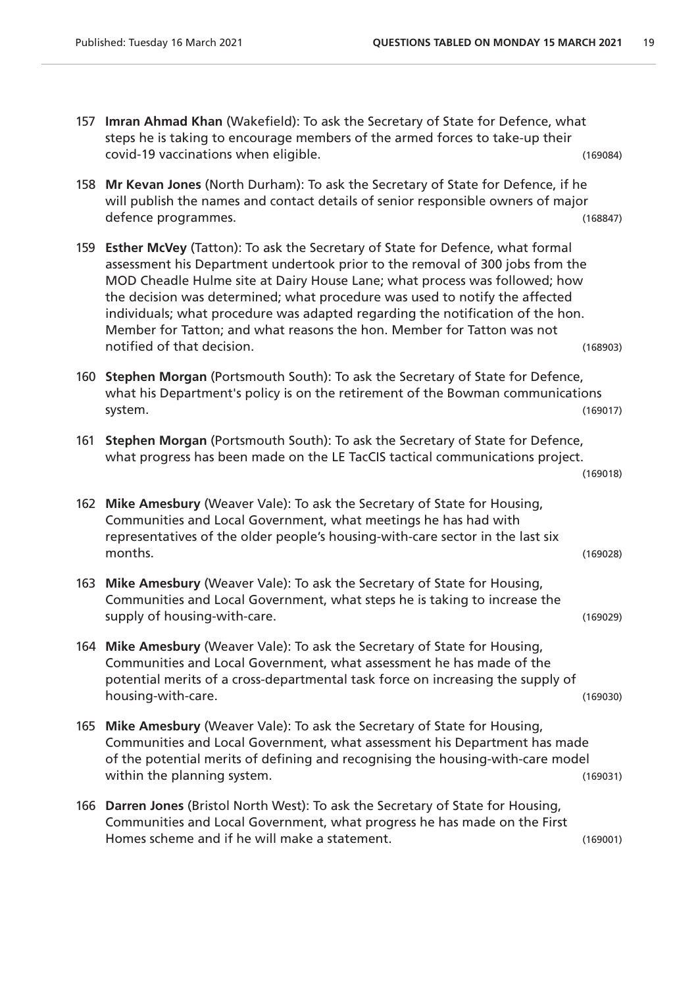(169018)

- 157 **Imran Ahmad Khan** (Wakefield): To ask the Secretary of State for Defence, what steps he is taking to encourage members of the armed forces to take-up their covid-19 vaccinations when eligible. (169084)
- 158 **Mr Kevan Jones** (North Durham): To ask the Secretary of State for Defence, if he will publish the names and contact details of senior responsible owners of major defence programmes. (168847)
- 159 **Esther McVey** (Tatton): To ask the Secretary of State for Defence, what formal assessment his Department undertook prior to the removal of 300 jobs from the MOD Cheadle Hulme site at Dairy House Lane; what process was followed; how the decision was determined; what procedure was used to notify the affected individuals; what procedure was adapted regarding the notification of the hon. Member for Tatton; and what reasons the hon. Member for Tatton was not notified of that decision. The contract of the contract of the contract of the contract of the contract of the contract of the contract of the contract of the contract of the contract of the contract of the contract of the
- 160 **Stephen Morgan** (Portsmouth South): To ask the Secretary of State for Defence, what his Department's policy is on the retirement of the Bowman communications system. (169017)
- 161 **Stephen Morgan** (Portsmouth South): To ask the Secretary of State for Defence, what progress has been made on the LE TacCIS tactical communications project.

```
162 Mike Amesbury (Weaver Vale): To ask the Secretary of State for Housing, 
Communities and Local Government, what meetings he has had with 
representatives of the older people's housing-with-care sector in the last six 
months. (169028)
```
- 163 **Mike Amesbury** (Weaver Vale): To ask the Secretary of State for Housing, Communities and Local Government, what steps he is taking to increase the supply of housing-with-care. (169029)
- 164 **Mike Amesbury** (Weaver Vale): To ask the Secretary of State for Housing, Communities and Local Government, what assessment he has made of the potential merits of a cross-departmental task force on increasing the supply of housing-with-care. (169030)
- 165 **Mike Amesbury** (Weaver Vale): To ask the Secretary of State for Housing, Communities and Local Government, what assessment his Department has made of the potential merits of defining and recognising the housing-with-care model within the planning system. The same system of the state of the state of the state of the state of the state of the state of the state of the state of the state of the state of the state of the state of the state of the st
- 166 **Darren Jones** (Bristol North West): To ask the Secretary of State for Housing, Communities and Local Government, what progress he has made on the First Homes scheme and if he will make a statement. (169001)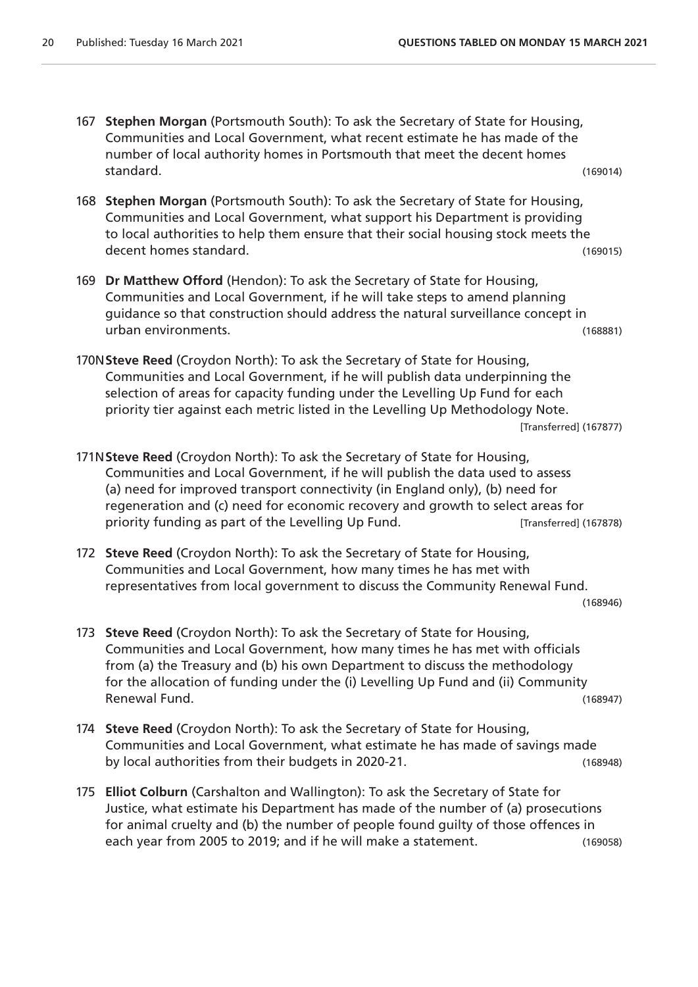- 167 **Stephen Morgan** (Portsmouth South): To ask the Secretary of State for Housing, Communities and Local Government, what recent estimate he has made of the number of local authority homes in Portsmouth that meet the decent homes standard. (169014)
- 168 **Stephen Morgan** (Portsmouth South): To ask the Secretary of State for Housing, Communities and Local Government, what support his Department is providing to local authorities to help them ensure that their social housing stock meets the decent homes standard. (169015)
- 169 **Dr Matthew Offord** (Hendon): To ask the Secretary of State for Housing, Communities and Local Government, if he will take steps to amend planning guidance so that construction should address the natural surveillance concept in urban environments. (168881)
- 170N**Steve Reed** (Croydon North): To ask the Secretary of State for Housing, Communities and Local Government, if he will publish data underpinning the selection of areas for capacity funding under the Levelling Up Fund for each priority tier against each metric listed in the Levelling Up Methodology Note. [Transferred] (167877)
- 171N**Steve Reed** (Croydon North): To ask the Secretary of State for Housing, Communities and Local Government, if he will publish the data used to assess (a) need for improved transport connectivity (in England only), (b) need for regeneration and (c) need for economic recovery and growth to select areas for priority funding as part of the Levelling Up Fund. [Transferred] (167878)
- 172 **Steve Reed** (Croydon North): To ask the Secretary of State for Housing, Communities and Local Government, how many times he has met with representatives from local government to discuss the Community Renewal Fund.

(168946)

- 173 **Steve Reed** (Croydon North): To ask the Secretary of State for Housing, Communities and Local Government, how many times he has met with officials from (a) the Treasury and (b) his own Department to discuss the methodology for the allocation of funding under the (i) Levelling Up Fund and (ii) Community Renewal Fund. (168947)
- 174 **Steve Reed** (Croydon North): To ask the Secretary of State for Housing, Communities and Local Government, what estimate he has made of savings made by local authorities from their budgets in 2020-21. (168948)
- 175 **Elliot Colburn** (Carshalton and Wallington): To ask the Secretary of State for Justice, what estimate his Department has made of the number of (a) prosecutions for animal cruelty and (b) the number of people found guilty of those offences in each year from 2005 to 2019; and if he will make a statement. (169058)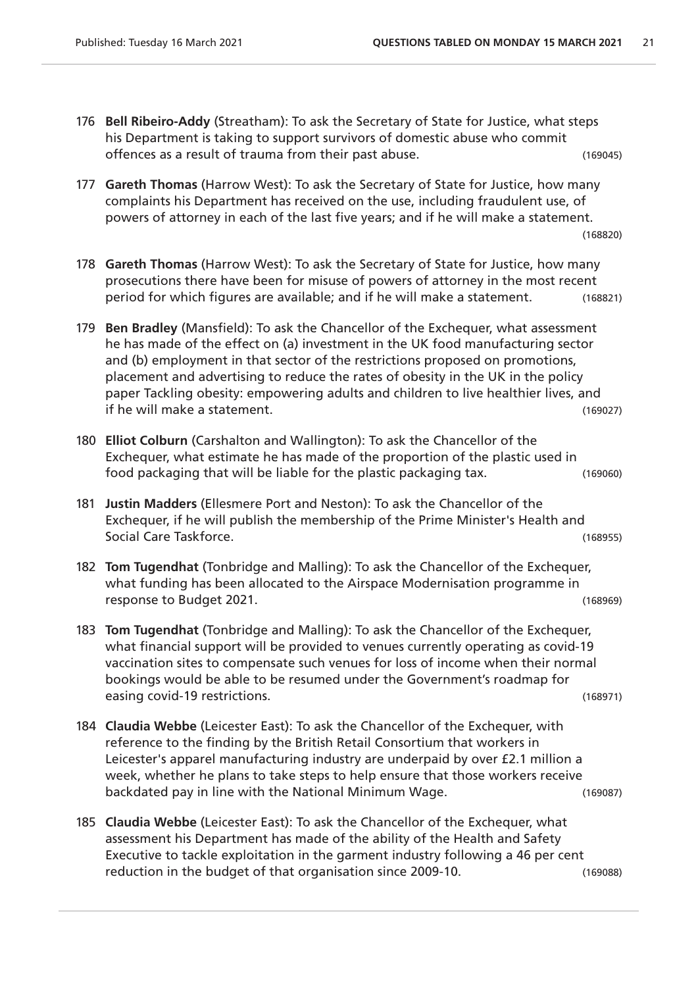- 176 **Bell Ribeiro-Addy** (Streatham): To ask the Secretary of State for Justice, what steps his Department is taking to support survivors of domestic abuse who commit offences as a result of trauma from their past abuse. (169045)
- 177 **Gareth Thomas** (Harrow West): To ask the Secretary of State for Justice, how many complaints his Department has received on the use, including fraudulent use, of powers of attorney in each of the last five years; and if he will make a statement. (168820)
- 178 **Gareth Thomas** (Harrow West): To ask the Secretary of State for Justice, how many prosecutions there have been for misuse of powers of attorney in the most recent period for which figures are available; and if he will make a statement. (168821)
- 179 **Ben Bradley** (Mansfield): To ask the Chancellor of the Exchequer, what assessment he has made of the effect on (a) investment in the UK food manufacturing sector and (b) employment in that sector of the restrictions proposed on promotions, placement and advertising to reduce the rates of obesity in the UK in the policy paper Tackling obesity: empowering adults and children to live healthier lives, and if he will make a statement. (169027)
- 180 **Elliot Colburn** (Carshalton and Wallington): To ask the Chancellor of the Exchequer, what estimate he has made of the proportion of the plastic used in food packaging that will be liable for the plastic packaging tax. (169060)
- 181 **Justin Madders** (Ellesmere Port and Neston): To ask the Chancellor of the Exchequer, if he will publish the membership of the Prime Minister's Health and Social Care Taskforce. (168955)
- 182 **Tom Tugendhat** (Tonbridge and Malling): To ask the Chancellor of the Exchequer, what funding has been allocated to the Airspace Modernisation programme in response to Budget 2021. (168969)
- 183 **Tom Tugendhat** (Tonbridge and Malling): To ask the Chancellor of the Exchequer, what financial support will be provided to venues currently operating as covid-19 vaccination sites to compensate such venues for loss of income when their normal bookings would be able to be resumed under the Government's roadmap for easing covid-19 restrictions. (168971)
- 184 **Claudia Webbe** (Leicester East): To ask the Chancellor of the Exchequer, with reference to the finding by the British Retail Consortium that workers in Leicester's apparel manufacturing industry are underpaid by over £2.1 million a week, whether he plans to take steps to help ensure that those workers receive backdated pay in line with the National Minimum Wage. (169087)
- 185 **Claudia Webbe** (Leicester East): To ask the Chancellor of the Exchequer, what assessment his Department has made of the ability of the Health and Safety Executive to tackle exploitation in the garment industry following a 46 per cent reduction in the budget of that organisation since 2009-10. (169088)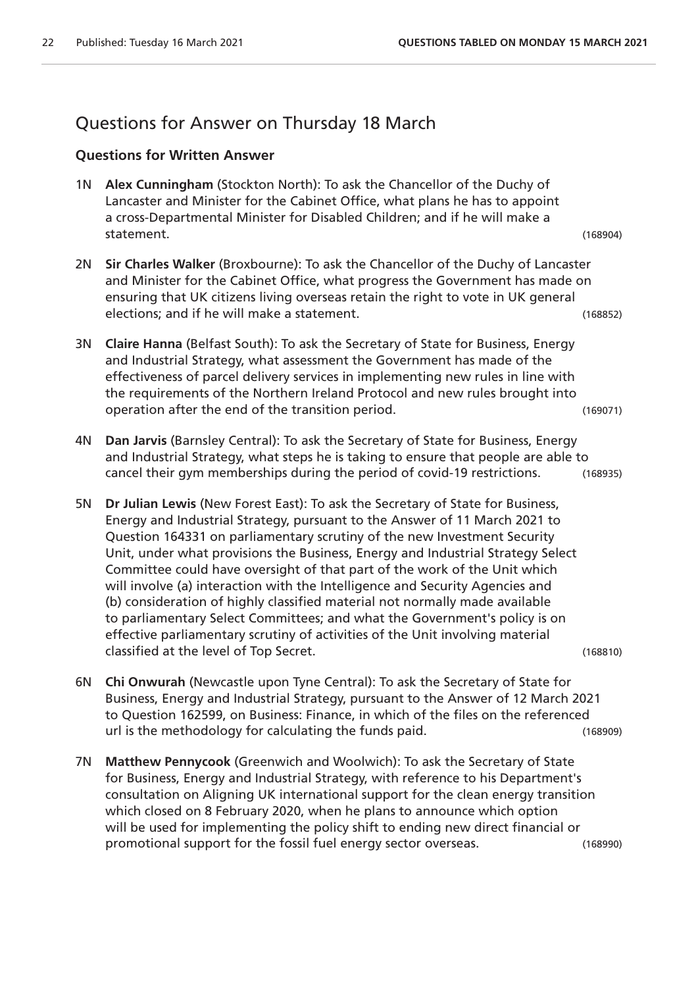## Questions for Answer on Thursday 18 March

#### **Questions for Written Answer**

- 1N **Alex Cunningham** (Stockton North): To ask the Chancellor of the Duchy of Lancaster and Minister for the Cabinet Office, what plans he has to appoint a cross-Departmental Minister for Disabled Children; and if he will make a statement. (168904)
- 2N **Sir Charles Walker** (Broxbourne): To ask the Chancellor of the Duchy of Lancaster and Minister for the Cabinet Office, what progress the Government has made on ensuring that UK citizens living overseas retain the right to vote in UK general elections; and if he will make a statement. (168852)
- 3N **Claire Hanna** (Belfast South): To ask the Secretary of State for Business, Energy and Industrial Strategy, what assessment the Government has made of the effectiveness of parcel delivery services in implementing new rules in line with the requirements of the Northern Ireland Protocol and new rules brought into operation after the end of the transition period. (169071)
- 4N **Dan Jarvis** (Barnsley Central): To ask the Secretary of State for Business, Energy and Industrial Strategy, what steps he is taking to ensure that people are able to cancel their gym memberships during the period of covid-19 restrictions. (168935)
- 5N **Dr Julian Lewis** (New Forest East): To ask the Secretary of State for Business, Energy and Industrial Strategy, pursuant to the Answer of 11 March 2021 to Question 164331 on parliamentary scrutiny of the new Investment Security Unit, under what provisions the Business, Energy and Industrial Strategy Select Committee could have oversight of that part of the work of the Unit which will involve (a) interaction with the Intelligence and Security Agencies and (b) consideration of highly classified material not normally made available to parliamentary Select Committees; and what the Government's policy is on effective parliamentary scrutiny of activities of the Unit involving material classified at the level of Top Secret. (168810)
- 6N **Chi Onwurah** (Newcastle upon Tyne Central): To ask the Secretary of State for Business, Energy and Industrial Strategy, pursuant to the Answer of 12 March 2021 to Question 162599, on Business: Finance, in which of the files on the referenced url is the methodology for calculating the funds paid. (168909)
- 7N **Matthew Pennycook** (Greenwich and Woolwich): To ask the Secretary of State for Business, Energy and Industrial Strategy, with reference to his Department's consultation on Aligning UK international support for the clean energy transition which closed on 8 February 2020, when he plans to announce which option will be used for implementing the policy shift to ending new direct financial or promotional support for the fossil fuel energy sector overseas. (168990)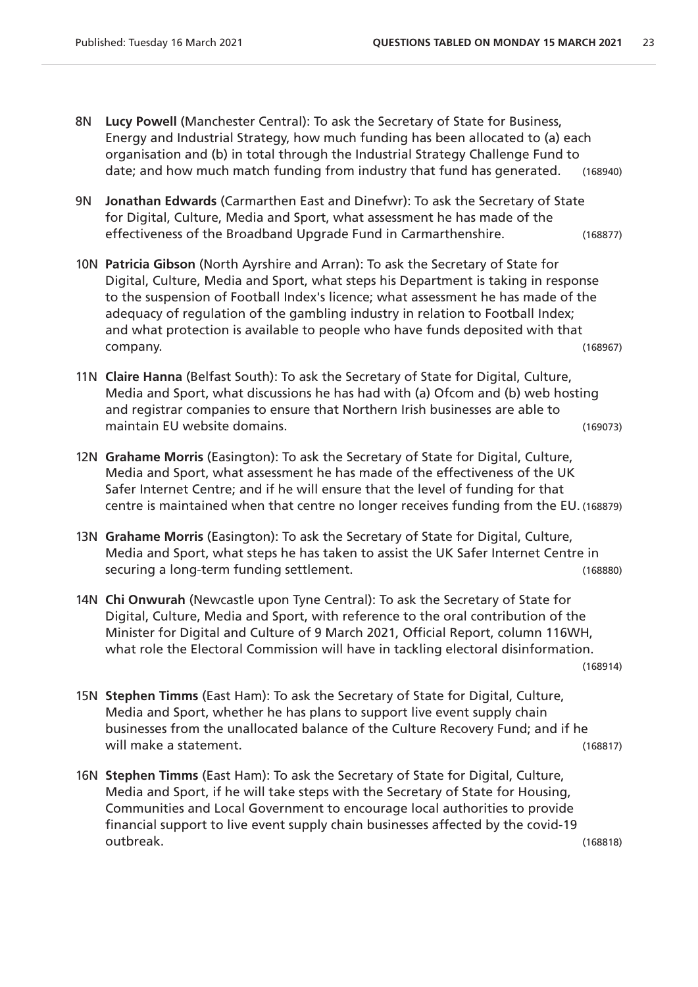- 8N **Lucy Powell** (Manchester Central): To ask the Secretary of State for Business, Energy and Industrial Strategy, how much funding has been allocated to (a) each organisation and (b) in total through the Industrial Strategy Challenge Fund to date; and how much match funding from industry that fund has generated. (168940)
- 9N **Jonathan Edwards** (Carmarthen East and Dinefwr): To ask the Secretary of State for Digital, Culture, Media and Sport, what assessment he has made of the effectiveness of the Broadband Upgrade Fund in Carmarthenshire. (168877)
- 10N **Patricia Gibson** (North Ayrshire and Arran): To ask the Secretary of State for Digital, Culture, Media and Sport, what steps his Department is taking in response to the suspension of Football Index's licence; what assessment he has made of the adequacy of regulation of the gambling industry in relation to Football Index; and what protection is available to people who have funds deposited with that company. (168967)
- 11N **Claire Hanna** (Belfast South): To ask the Secretary of State for Digital, Culture, Media and Sport, what discussions he has had with (a) Ofcom and (b) web hosting and registrar companies to ensure that Northern Irish businesses are able to maintain EU website domains. (169073)
- 12N **Grahame Morris** (Easington): To ask the Secretary of State for Digital, Culture, Media and Sport, what assessment he has made of the effectiveness of the UK Safer Internet Centre; and if he will ensure that the level of funding for that centre is maintained when that centre no longer receives funding from the EU. (168879)
- 13N **Grahame Morris** (Easington): To ask the Secretary of State for Digital, Culture, Media and Sport, what steps he has taken to assist the UK Safer Internet Centre in securing a long-term funding settlement. (168880)
- 14N **Chi Onwurah** (Newcastle upon Tyne Central): To ask the Secretary of State for Digital, Culture, Media and Sport, with reference to the oral contribution of the Minister for Digital and Culture of 9 March 2021, Official Report, column 116WH, what role the Electoral Commission will have in tackling electoral disinformation.

(168914)

- 15N **Stephen Timms** (East Ham): To ask the Secretary of State for Digital, Culture, Media and Sport, whether he has plans to support live event supply chain businesses from the unallocated balance of the Culture Recovery Fund; and if he will make a statement. (168817)
- 16N **Stephen Timms** (East Ham): To ask the Secretary of State for Digital, Culture, Media and Sport, if he will take steps with the Secretary of State for Housing, Communities and Local Government to encourage local authorities to provide financial support to live event supply chain businesses affected by the covid-19 outbreak. (168818)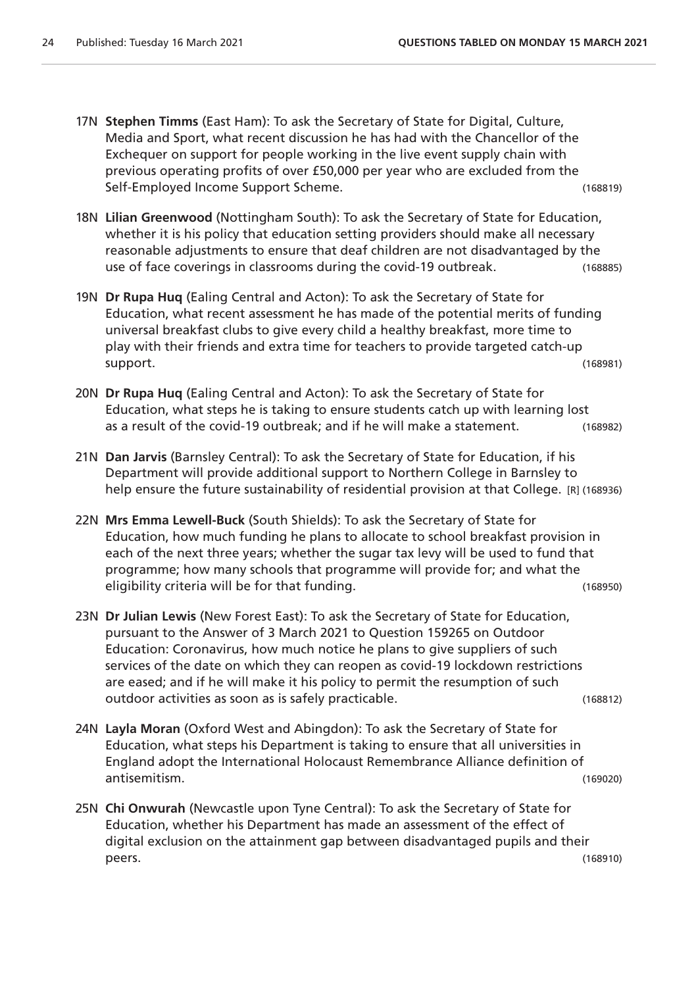- 17N **Stephen Timms** (East Ham): To ask the Secretary of State for Digital, Culture, Media and Sport, what recent discussion he has had with the Chancellor of the Exchequer on support for people working in the live event supply chain with previous operating profits of over £50,000 per year who are excluded from the Self-Employed Income Support Scheme. (168819)
- 18N **Lilian Greenwood** (Nottingham South): To ask the Secretary of State for Education, whether it is his policy that education setting providers should make all necessary reasonable adjustments to ensure that deaf children are not disadvantaged by the use of face coverings in classrooms during the covid-19 outbreak. (168885)
- 19N **Dr Rupa Huq** (Ealing Central and Acton): To ask the Secretary of State for Education, what recent assessment he has made of the potential merits of funding universal breakfast clubs to give every child a healthy breakfast, more time to play with their friends and extra time for teachers to provide targeted catch-up support. (168981)
- 20N **Dr Rupa Huq** (Ealing Central and Acton): To ask the Secretary of State for Education, what steps he is taking to ensure students catch up with learning lost as a result of the covid-19 outbreak; and if he will make a statement. (168982)
- 21N **Dan Jarvis** (Barnsley Central): To ask the Secretary of State for Education, if his Department will provide additional support to Northern College in Barnsley to help ensure the future sustainability of residential provision at that College. [R] (168936)
- 22N **Mrs Emma Lewell-Buck** (South Shields): To ask the Secretary of State for Education, how much funding he plans to allocate to school breakfast provision in each of the next three years; whether the sugar tax levy will be used to fund that programme; how many schools that programme will provide for; and what the eligibility criteria will be for that funding. The same state of the control of the control of the control of the control of the control of the control of the control of the control of the control of the control of the con
- 23N **Dr Julian Lewis** (New Forest East): To ask the Secretary of State for Education, pursuant to the Answer of 3 March 2021 to Question 159265 on Outdoor Education: Coronavirus, how much notice he plans to give suppliers of such services of the date on which they can reopen as covid-19 lockdown restrictions are eased; and if he will make it his policy to permit the resumption of such outdoor activities as soon as is safely practicable. (168812)
- 24N **Layla Moran** (Oxford West and Abingdon): To ask the Secretary of State for Education, what steps his Department is taking to ensure that all universities in England adopt the International Holocaust Remembrance Alliance definition of antisemitism. (169020)
- 25N **Chi Onwurah** (Newcastle upon Tyne Central): To ask the Secretary of State for Education, whether his Department has made an assessment of the effect of digital exclusion on the attainment gap between disadvantaged pupils and their peers. (168910)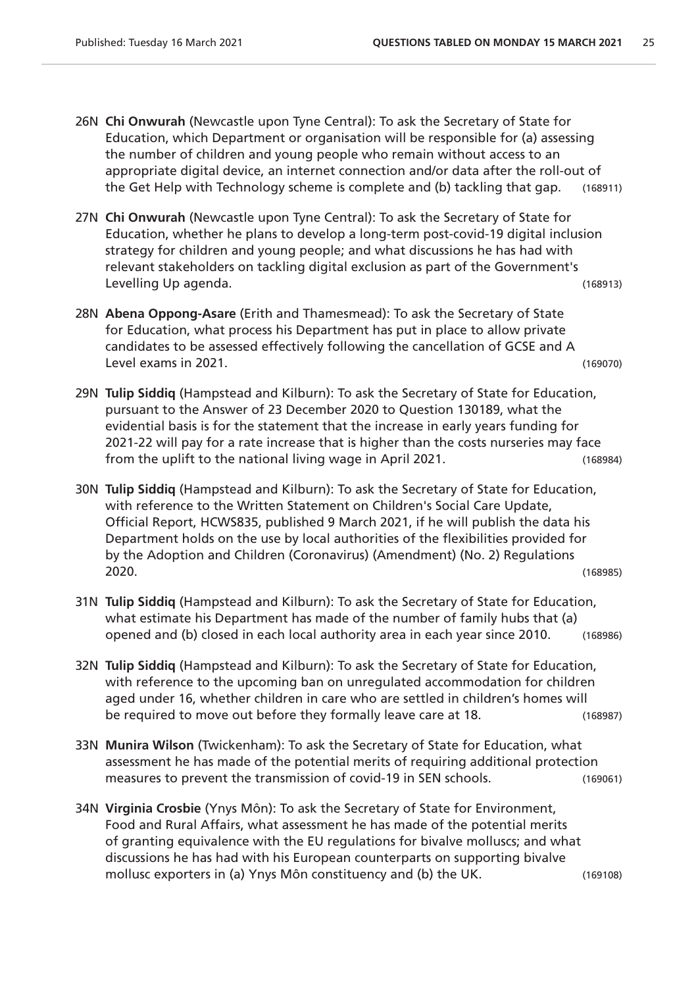- 26N **Chi Onwurah** (Newcastle upon Tyne Central): To ask the Secretary of State for Education, which Department or organisation will be responsible for (a) assessing the number of children and young people who remain without access to an appropriate digital device, an internet connection and/or data after the roll-out of the Get Help with Technology scheme is complete and (b) tackling that gap. (168911)
- 27N **Chi Onwurah** (Newcastle upon Tyne Central): To ask the Secretary of State for Education, whether he plans to develop a long-term post-covid-19 digital inclusion strategy for children and young people; and what discussions he has had with relevant stakeholders on tackling digital exclusion as part of the Government's Levelling Up agenda. (168913)
- 28N **Abena Oppong-Asare** (Erith and Thamesmead): To ask the Secretary of State for Education, what process his Department has put in place to allow private candidates to be assessed effectively following the cancellation of GCSE and A Level exams in 2021. (169070)
- 29N **Tulip Siddiq** (Hampstead and Kilburn): To ask the Secretary of State for Education, pursuant to the Answer of 23 December 2020 to Question 130189, what the evidential basis is for the statement that the increase in early years funding for 2021-22 will pay for a rate increase that is higher than the costs nurseries may face from the uplift to the national living wage in April 2021. (168984)
- 30N **Tulip Siddiq** (Hampstead and Kilburn): To ask the Secretary of State for Education, with reference to the Written Statement on Children's Social Care Update, Official Report, HCWS835, published 9 March 2021, if he will publish the data his Department holds on the use by local authorities of the flexibilities provided for by the Adoption and Children (Coronavirus) (Amendment) (No. 2) Regulations 2020. (168985)
- 31N **Tulip Siddiq** (Hampstead and Kilburn): To ask the Secretary of State for Education, what estimate his Department has made of the number of family hubs that (a) opened and (b) closed in each local authority area in each year since 2010. (168986)
- 32N **Tulip Siddiq** (Hampstead and Kilburn): To ask the Secretary of State for Education, with reference to the upcoming ban on unregulated accommodation for children aged under 16, whether children in care who are settled in children's homes will be required to move out before they formally leave care at 18. (168987)
- 33N **Munira Wilson** (Twickenham): To ask the Secretary of State for Education, what assessment he has made of the potential merits of requiring additional protection measures to prevent the transmission of covid-19 in SEN schools. (169061)
- 34N **Virginia Crosbie** (Ynys Môn): To ask the Secretary of State for Environment, Food and Rural Affairs, what assessment he has made of the potential merits of granting equivalence with the EU regulations for bivalve molluscs; and what discussions he has had with his European counterparts on supporting bivalve mollusc exporters in (a) Ynys Môn constituency and (b) the UK. (169108)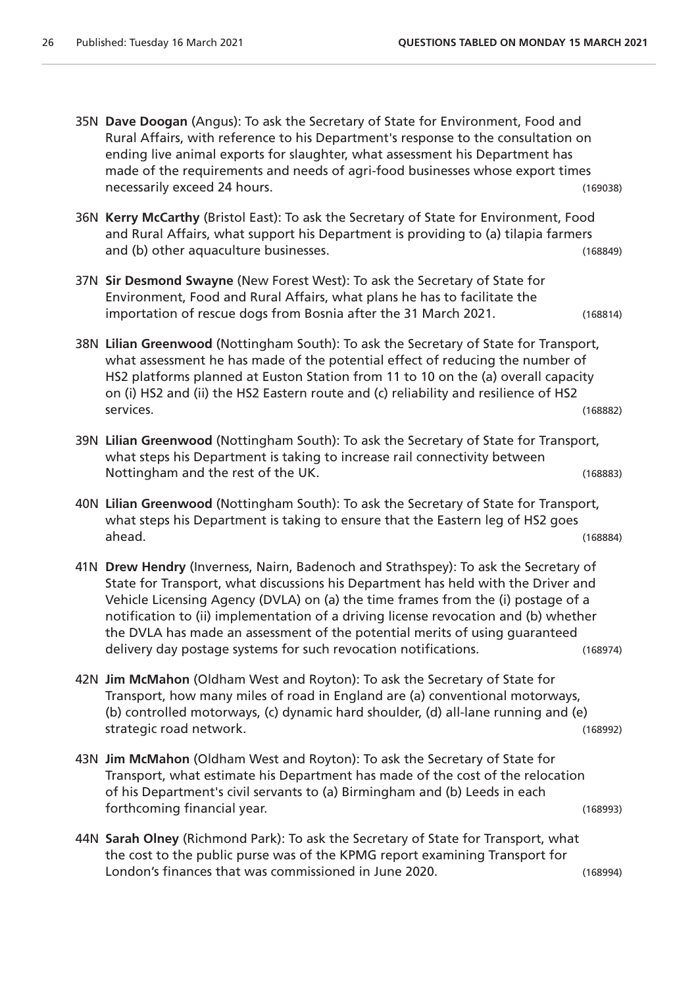- 35N **Dave Doogan** (Angus): To ask the Secretary of State for Environment, Food and Rural Affairs, with reference to his Department's response to the consultation on ending live animal exports for slaughter, what assessment his Department has made of the requirements and needs of agri-food businesses whose export times necessarily exceed 24 hours. (169038)
- 36N **Kerry McCarthy** (Bristol East): To ask the Secretary of State for Environment, Food and Rural Affairs, what support his Department is providing to (a) tilapia farmers and (b) other aquaculture businesses. (168849)
- 37N **Sir Desmond Swayne** (New Forest West): To ask the Secretary of State for Environment, Food and Rural Affairs, what plans he has to facilitate the importation of rescue dogs from Bosnia after the 31 March 2021. (168814)
- 38N **Lilian Greenwood** (Nottingham South): To ask the Secretary of State for Transport, what assessment he has made of the potential effect of reducing the number of HS2 platforms planned at Euston Station from 11 to 10 on the (a) overall capacity on (i) HS2 and (ii) the HS2 Eastern route and (c) reliability and resilience of HS2 services. (168882)
- 39N **Lilian Greenwood** (Nottingham South): To ask the Secretary of State for Transport, what steps his Department is taking to increase rail connectivity between Nottingham and the rest of the UK. (168883)
- 40N **Lilian Greenwood** (Nottingham South): To ask the Secretary of State for Transport, what steps his Department is taking to ensure that the Eastern leg of HS2 goes ahead. (168884)
- 41N **Drew Hendry** (Inverness, Nairn, Badenoch and Strathspey): To ask the Secretary of State for Transport, what discussions his Department has held with the Driver and Vehicle Licensing Agency (DVLA) on (a) the time frames from the (i) postage of a notification to (ii) implementation of a driving license revocation and (b) whether the DVLA has made an assessment of the potential merits of using guaranteed delivery day postage systems for such revocation notifications. (168974)
- 42N **Jim McMahon** (Oldham West and Royton): To ask the Secretary of State for Transport, how many miles of road in England are (a) conventional motorways, (b) controlled motorways, (c) dynamic hard shoulder, (d) all-lane running and (e) strategic road network. (168992)
- 43N **Jim McMahon** (Oldham West and Royton): To ask the Secretary of State for Transport, what estimate his Department has made of the cost of the relocation of his Department's civil servants to (a) Birmingham and (b) Leeds in each forthcoming financial year. (168993)
- 44N **Sarah Olney** (Richmond Park): To ask the Secretary of State for Transport, what the cost to the public purse was of the KPMG report examining Transport for London's finances that was commissioned in June 2020. (168994)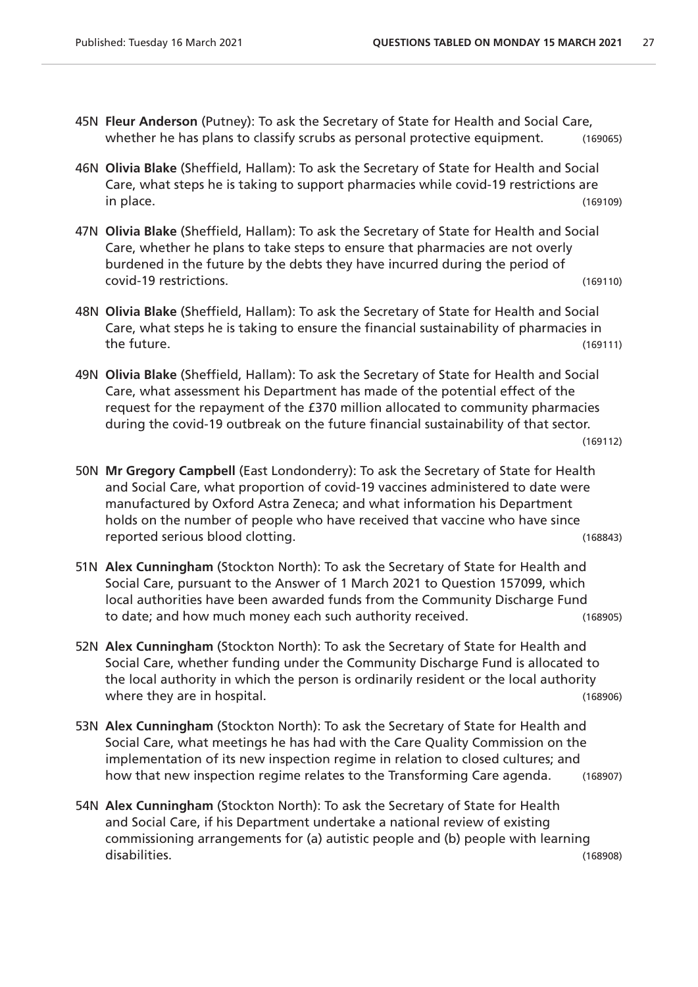- 45N **Fleur Anderson** (Putney): To ask the Secretary of State for Health and Social Care, whether he has plans to classify scrubs as personal protective equipment. (169065)
- 46N **Olivia Blake** (Sheffield, Hallam): To ask the Secretary of State for Health and Social Care, what steps he is taking to support pharmacies while covid-19 restrictions are in place. (169109)
- 47N **Olivia Blake** (Sheffield, Hallam): To ask the Secretary of State for Health and Social Care, whether he plans to take steps to ensure that pharmacies are not overly burdened in the future by the debts they have incurred during the period of covid-19 restrictions. (169110)
- 48N **Olivia Blake** (Sheffield, Hallam): To ask the Secretary of State for Health and Social Care, what steps he is taking to ensure the financial sustainability of pharmacies in the future. (169111)
- 49N **Olivia Blake** (Sheffield, Hallam): To ask the Secretary of State for Health and Social Care, what assessment his Department has made of the potential effect of the request for the repayment of the £370 million allocated to community pharmacies during the covid-19 outbreak on the future financial sustainability of that sector.

```
(169112)
```
- 50N **Mr Gregory Campbell** (East Londonderry): To ask the Secretary of State for Health and Social Care, what proportion of covid-19 vaccines administered to date were manufactured by Oxford Astra Zeneca; and what information his Department holds on the number of people who have received that vaccine who have since reported serious blood clotting. (168843)
- 51N **Alex Cunningham** (Stockton North): To ask the Secretary of State for Health and Social Care, pursuant to the Answer of 1 March 2021 to Question 157099, which local authorities have been awarded funds from the Community Discharge Fund to date; and how much money each such authority received. (168905)
- 52N **Alex Cunningham** (Stockton North): To ask the Secretary of State for Health and Social Care, whether funding under the Community Discharge Fund is allocated to the local authority in which the person is ordinarily resident or the local authority where they are in hospital. The same state of the state of the state of the state (168906)
- 53N **Alex Cunningham** (Stockton North): To ask the Secretary of State for Health and Social Care, what meetings he has had with the Care Quality Commission on the implementation of its new inspection regime in relation to closed cultures; and how that new inspection regime relates to the Transforming Care agenda. (168907)
- 54N **Alex Cunningham** (Stockton North): To ask the Secretary of State for Health and Social Care, if his Department undertake a national review of existing commissioning arrangements for (a) autistic people and (b) people with learning disabilities. (168908)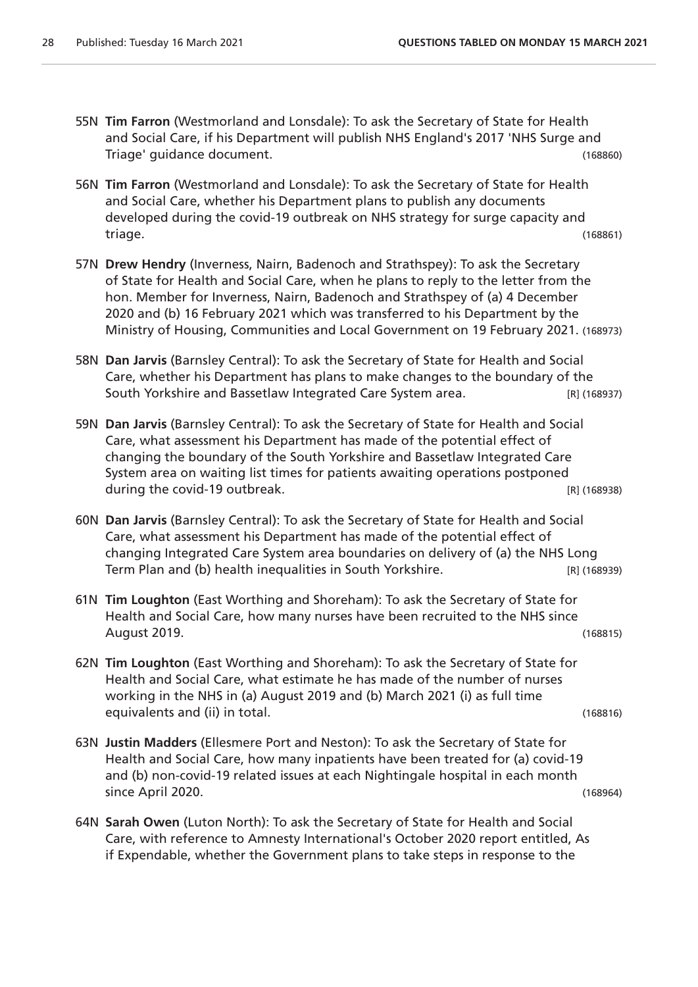- 55N **Tim Farron** (Westmorland and Lonsdale): To ask the Secretary of State for Health and Social Care, if his Department will publish NHS England's 2017 'NHS Surge and Triage' guidance document. (168860)
- 56N **Tim Farron** (Westmorland and Lonsdale): To ask the Secretary of State for Health and Social Care, whether his Department plans to publish any documents developed during the covid-19 outbreak on NHS strategy for surge capacity and triage. (168861)
- 57N **Drew Hendry** (Inverness, Nairn, Badenoch and Strathspey): To ask the Secretary of State for Health and Social Care, when he plans to reply to the letter from the hon. Member for Inverness, Nairn, Badenoch and Strathspey of (a) 4 December 2020 and (b) 16 February 2021 which was transferred to his Department by the Ministry of Housing, Communities and Local Government on 19 February 2021. (168973)
- 58N **Dan Jarvis** (Barnsley Central): To ask the Secretary of State for Health and Social Care, whether his Department has plans to make changes to the boundary of the South Yorkshire and Bassetlaw Integrated Care System area. [R] (168937)
- 59N **Dan Jarvis** (Barnsley Central): To ask the Secretary of State for Health and Social Care, what assessment his Department has made of the potential effect of changing the boundary of the South Yorkshire and Bassetlaw Integrated Care System area on waiting list times for patients awaiting operations postponed during the covid-19 outbreak.  $\blacksquare$  and  $\blacksquare$  and  $\blacksquare$  [R] (168938)
- 60N **Dan Jarvis** (Barnsley Central): To ask the Secretary of State for Health and Social Care, what assessment his Department has made of the potential effect of changing Integrated Care System area boundaries on delivery of (a) the NHS Long Term Plan and (b) health inequalities in South Yorkshire. [R] (168939)
- 61N **Tim Loughton** (East Worthing and Shoreham): To ask the Secretary of State for Health and Social Care, how many nurses have been recruited to the NHS since August 2019. (168815)
- 62N **Tim Loughton** (East Worthing and Shoreham): To ask the Secretary of State for Health and Social Care, what estimate he has made of the number of nurses working in the NHS in (a) August 2019 and (b) March 2021 (i) as full time equivalents and (ii) in total. (168816)
- 63N **Justin Madders** (Ellesmere Port and Neston): To ask the Secretary of State for Health and Social Care, how many inpatients have been treated for (a) covid-19 and (b) non-covid-19 related issues at each Nightingale hospital in each month since April 2020. (168964)
- 64N **Sarah Owen** (Luton North): To ask the Secretary of State for Health and Social Care, with reference to Amnesty International's October 2020 report entitled, As if Expendable, whether the Government plans to take steps in response to the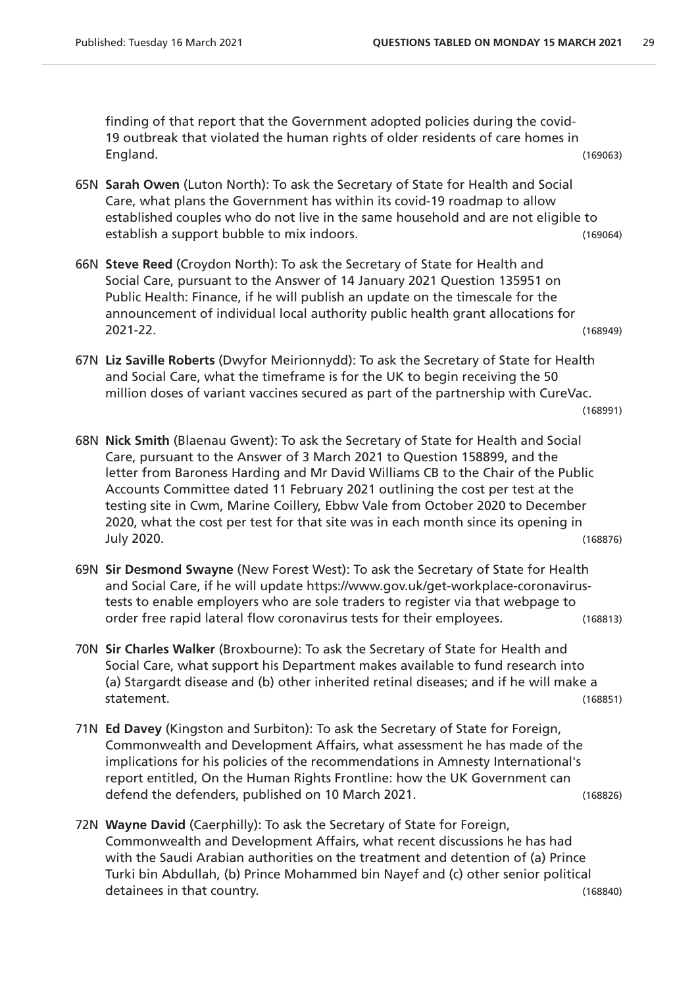finding of that report that the Government adopted policies during the covid-19 outbreak that violated the human rights of older residents of care homes in England. (169063)

- 65N **Sarah Owen** (Luton North): To ask the Secretary of State for Health and Social Care, what plans the Government has within its covid-19 roadmap to allow established couples who do not live in the same household and are not eligible to establish a support bubble to mix indoors. The stablish a support bubble to mix indoors.
- 66N **Steve Reed** (Croydon North): To ask the Secretary of State for Health and Social Care, pursuant to the Answer of 14 January 2021 Question 135951 on Public Health: Finance, if he will publish an update on the timescale for the announcement of individual local authority public health grant allocations for 2021-22. (168949)
- 67N **Liz Saville Roberts** (Dwyfor Meirionnydd): To ask the Secretary of State for Health and Social Care, what the timeframe is for the UK to begin receiving the 50 million doses of variant vaccines secured as part of the partnership with CureVac.

```
(168991)
```
- 68N **Nick Smith** (Blaenau Gwent): To ask the Secretary of State for Health and Social Care, pursuant to the Answer of 3 March 2021 to Question 158899, and the letter from Baroness Harding and Mr David Williams CB to the Chair of the Public Accounts Committee dated 11 February 2021 outlining the cost per test at the testing site in Cwm, Marine Coillery, Ebbw Vale from October 2020 to December 2020, what the cost per test for that site was in each month since its opening in July 2020. (168876)
- 69N **Sir Desmond Swayne** (New Forest West): To ask the Secretary of State for Health and Social Care, if he will update https://www.gov.uk/get-workplace-coronavirustests to enable employers who are sole traders to register via that webpage to order free rapid lateral flow coronavirus tests for their employees. (168813)
- 70N **Sir Charles Walker** (Broxbourne): To ask the Secretary of State for Health and Social Care, what support his Department makes available to fund research into (a) Stargardt disease and (b) other inherited retinal diseases; and if he will make a statement. (168851)
- 71N **Ed Davey** (Kingston and Surbiton): To ask the Secretary of State for Foreign, Commonwealth and Development Affairs, what assessment he has made of the implications for his policies of the recommendations in Amnesty International's report entitled, On the Human Rights Frontline: how the UK Government can defend the defenders, published on 10 March 2021. (168826)
- 72N **Wayne David** (Caerphilly): To ask the Secretary of State for Foreign, Commonwealth and Development Affairs, what recent discussions he has had with the Saudi Arabian authorities on the treatment and detention of (a) Prince Turki bin Abdullah, (b) Prince Mohammed bin Nayef and (c) other senior political detainees in that country. (168840)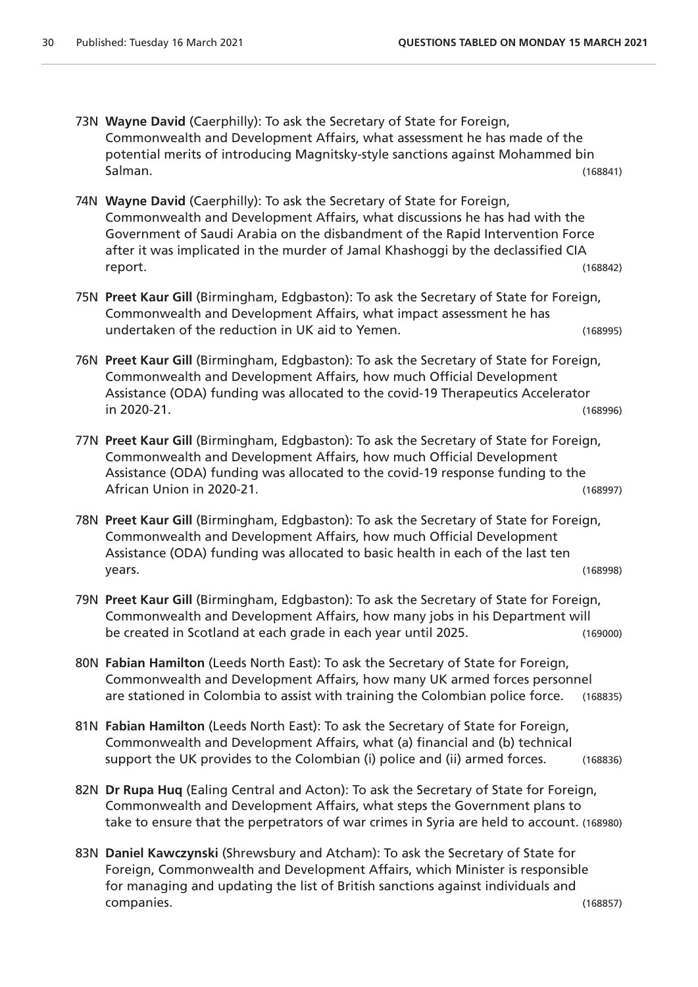- 73N **Wayne David** (Caerphilly): To ask the Secretary of State for Foreign, Commonwealth and Development Affairs, what assessment he has made of the potential merits of introducing Magnitsky-style sanctions against Mohammed bin Salman. (168841)
- 74N **Wayne David** (Caerphilly): To ask the Secretary of State for Foreign, Commonwealth and Development Affairs, what discussions he has had with the Government of Saudi Arabia on the disbandment of the Rapid Intervention Force after it was implicated in the murder of Jamal Khashoggi by the declassified CIA report. (168842)
- 75N **Preet Kaur Gill** (Birmingham, Edgbaston): To ask the Secretary of State for Foreign, Commonwealth and Development Affairs, what impact assessment he has undertaken of the reduction in UK aid to Yemen. (168995)
- 76N **Preet Kaur Gill** (Birmingham, Edgbaston): To ask the Secretary of State for Foreign, Commonwealth and Development Affairs, how much Official Development Assistance (ODA) funding was allocated to the covid-19 Therapeutics Accelerator in 2020-21. (168996)
- 77N **Preet Kaur Gill** (Birmingham, Edgbaston): To ask the Secretary of State for Foreign, Commonwealth and Development Affairs, how much Official Development Assistance (ODA) funding was allocated to the covid-19 response funding to the African Union in 2020-21. (168997)
- 78N **Preet Kaur Gill** (Birmingham, Edgbaston): To ask the Secretary of State for Foreign, Commonwealth and Development Affairs, how much Official Development Assistance (ODA) funding was allocated to basic health in each of the last ten years. (168998)
- 79N **Preet Kaur Gill** (Birmingham, Edgbaston): To ask the Secretary of State for Foreign, Commonwealth and Development Affairs, how many jobs in his Department will be created in Scotland at each grade in each year until 2025. (169000)
- 80N **Fabian Hamilton** (Leeds North East): To ask the Secretary of State for Foreign, Commonwealth and Development Affairs, how many UK armed forces personnel are stationed in Colombia to assist with training the Colombian police force. (168835)
- 81N **Fabian Hamilton** (Leeds North East): To ask the Secretary of State for Foreign, Commonwealth and Development Affairs, what (a) financial and (b) technical support the UK provides to the Colombian (i) police and (ii) armed forces. (168836)
- 82N **Dr Rupa Huq** (Ealing Central and Acton): To ask the Secretary of State for Foreign, Commonwealth and Development Affairs, what steps the Government plans to take to ensure that the perpetrators of war crimes in Syria are held to account. (168980)
- 83N **Daniel Kawczynski** (Shrewsbury and Atcham): To ask the Secretary of State for Foreign, Commonwealth and Development Affairs, which Minister is responsible for managing and updating the list of British sanctions against individuals and companies. (168857)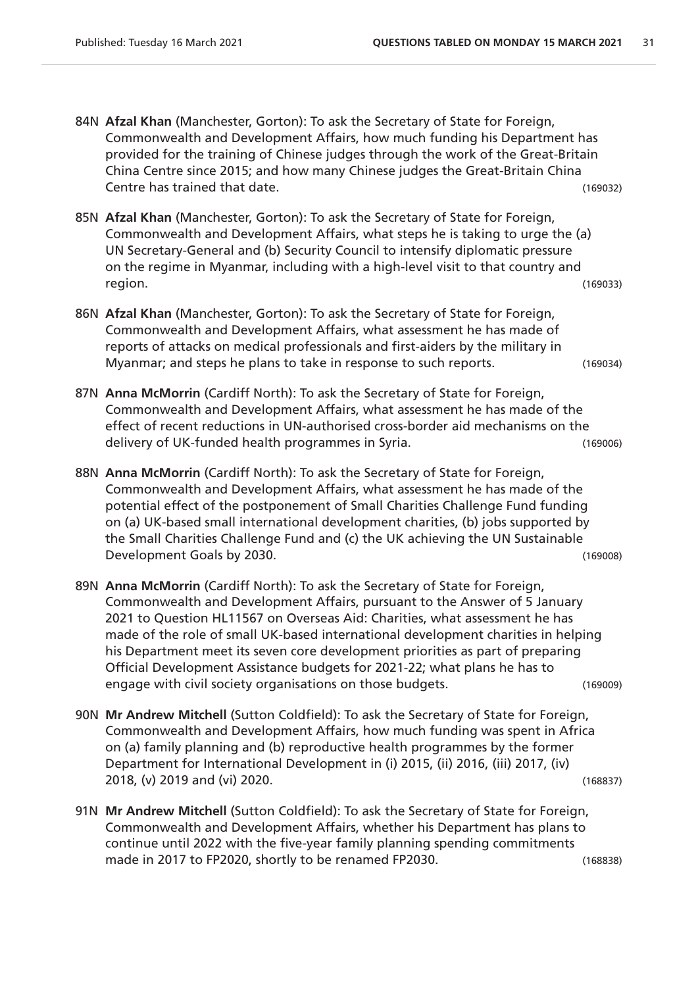- 84N **Afzal Khan** (Manchester, Gorton): To ask the Secretary of State for Foreign, Commonwealth and Development Affairs, how much funding his Department has provided for the training of Chinese judges through the work of the Great-Britain China Centre since 2015; and how many Chinese judges the Great-Britain China Centre has trained that date. (169032)
- 85N **Afzal Khan** (Manchester, Gorton): To ask the Secretary of State for Foreign, Commonwealth and Development Affairs, what steps he is taking to urge the (a) UN Secretary-General and (b) Security Council to intensify diplomatic pressure on the regime in Myanmar, including with a high-level visit to that country and region. (169033)
- 86N **Afzal Khan** (Manchester, Gorton): To ask the Secretary of State for Foreign, Commonwealth and Development Affairs, what assessment he has made of reports of attacks on medical professionals and first-aiders by the military in Myanmar; and steps he plans to take in response to such reports. (169034)
- 87N **Anna McMorrin** (Cardiff North): To ask the Secretary of State for Foreign, Commonwealth and Development Affairs, what assessment he has made of the effect of recent reductions in UN-authorised cross-border aid mechanisms on the delivery of UK-funded health programmes in Syria. (169006)
- 88N **Anna McMorrin** (Cardiff North): To ask the Secretary of State for Foreign, Commonwealth and Development Affairs, what assessment he has made of the potential effect of the postponement of Small Charities Challenge Fund funding on (a) UK-based small international development charities, (b) jobs supported by the Small Charities Challenge Fund and (c) the UK achieving the UN Sustainable Development Goals by 2030. (169008)
- 89N **Anna McMorrin** (Cardiff North): To ask the Secretary of State for Foreign, Commonwealth and Development Affairs, pursuant to the Answer of 5 January 2021 to Question HL11567 on Overseas Aid: Charities, what assessment he has made of the role of small UK-based international development charities in helping his Department meet its seven core development priorities as part of preparing Official Development Assistance budgets for 2021-22; what plans he has to engage with civil society organisations on those budgets. (169009)
- 90N **Mr Andrew Mitchell** (Sutton Coldfield): To ask the Secretary of State for Foreign, Commonwealth and Development Affairs, how much funding was spent in Africa on (a) family planning and (b) reproductive health programmes by the former Department for International Development in (i) 2015, (ii) 2016, (iii) 2017, (iv) 2018, (v) 2019 and (vi) 2020. (168837)
- 91N **Mr Andrew Mitchell** (Sutton Coldfield): To ask the Secretary of State for Foreign, Commonwealth and Development Affairs, whether his Department has plans to continue until 2022 with the five-year family planning spending commitments made in 2017 to FP2020, shortly to be renamed FP2030. (168838)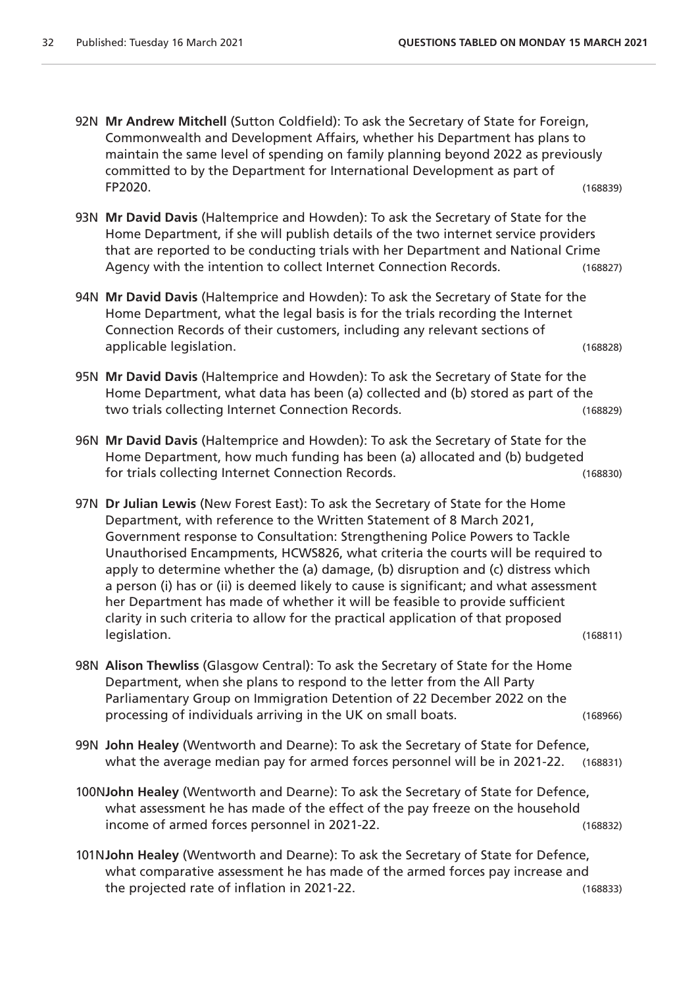- 92N **Mr Andrew Mitchell** (Sutton Coldfield): To ask the Secretary of State for Foreign, Commonwealth and Development Affairs, whether his Department has plans to maintain the same level of spending on family planning beyond 2022 as previously committed to by the Department for International Development as part of FP2020. (168839)
- 93N **Mr David Davis** (Haltemprice and Howden): To ask the Secretary of State for the Home Department, if she will publish details of the two internet service providers that are reported to be conducting trials with her Department and National Crime Agency with the intention to collect Internet Connection Records. (168827)
- 94N **Mr David Davis** (Haltemprice and Howden): To ask the Secretary of State for the Home Department, what the legal basis is for the trials recording the Internet Connection Records of their customers, including any relevant sections of applicable legislation. (168828)
- 95N **Mr David Davis** (Haltemprice and Howden): To ask the Secretary of State for the Home Department, what data has been (a) collected and (b) stored as part of the two trials collecting Internet Connection Records. (168829)
- 96N **Mr David Davis** (Haltemprice and Howden): To ask the Secretary of State for the Home Department, how much funding has been (a) allocated and (b) budgeted for trials collecting Internet Connection Records. (168830)
- 97N **Dr Julian Lewis** (New Forest East): To ask the Secretary of State for the Home Department, with reference to the Written Statement of 8 March 2021, Government response to Consultation: Strengthening Police Powers to Tackle Unauthorised Encampments, HCWS826, what criteria the courts will be required to apply to determine whether the (a) damage, (b) disruption and (c) distress which a person (i) has or (ii) is deemed likely to cause is significant; and what assessment her Department has made of whether it will be feasible to provide sufficient clarity in such criteria to allow for the practical application of that proposed legislation. (168811)
- 98N **Alison Thewliss** (Glasgow Central): To ask the Secretary of State for the Home Department, when she plans to respond to the letter from the All Party Parliamentary Group on Immigration Detention of 22 December 2022 on the processing of individuals arriving in the UK on small boats. (168966)
- 99N **John Healey** (Wentworth and Dearne): To ask the Secretary of State for Defence, what the average median pay for armed forces personnel will be in 2021-22. (168831)
- 100N**John Healey** (Wentworth and Dearne): To ask the Secretary of State for Defence, what assessment he has made of the effect of the pay freeze on the household income of armed forces personnel in 2021-22. (168832)
- 101N**John Healey** (Wentworth and Dearne): To ask the Secretary of State for Defence, what comparative assessment he has made of the armed forces pay increase and the projected rate of inflation in 2021-22. (168833)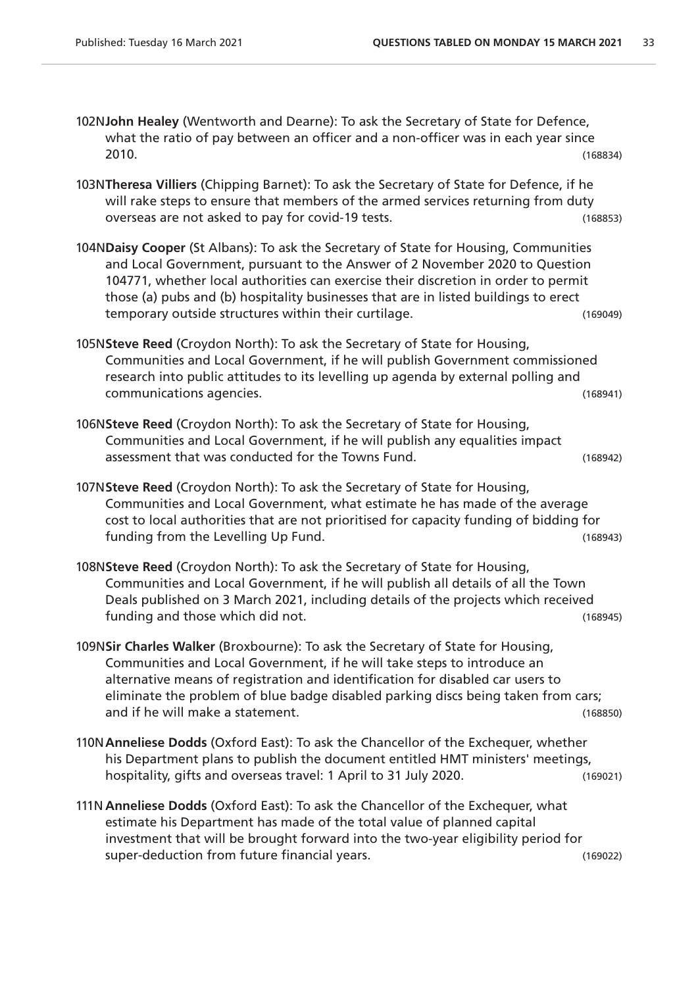- 102N**John Healey** (Wentworth and Dearne): To ask the Secretary of State for Defence, what the ratio of pay between an officer and a non-officer was in each year since 2010. (168834)
- 103N**Theresa Villiers** (Chipping Barnet): To ask the Secretary of State for Defence, if he will rake steps to ensure that members of the armed services returning from duty overseas are not asked to pay for covid-19 tests. (168853)
- 104N**Daisy Cooper** (St Albans): To ask the Secretary of State for Housing, Communities and Local Government, pursuant to the Answer of 2 November 2020 to Question 104771, whether local authorities can exercise their discretion in order to permit those (a) pubs and (b) hospitality businesses that are in listed buildings to erect temporary outside structures within their curtilage. (169049)
- 105N**Steve Reed** (Croydon North): To ask the Secretary of State for Housing, Communities and Local Government, if he will publish Government commissioned research into public attitudes to its levelling up agenda by external polling and communications agencies. (168941)
- 106N**Steve Reed** (Croydon North): To ask the Secretary of State for Housing, Communities and Local Government, if he will publish any equalities impact assessment that was conducted for the Towns Fund. (168942)
- 107N**Steve Reed** (Croydon North): To ask the Secretary of State for Housing, Communities and Local Government, what estimate he has made of the average cost to local authorities that are not prioritised for capacity funding of bidding for funding from the Levelling Up Fund. The contract of the contract of the contract of the contract of the contract of the contract of the contract of the contract of the contract of the contract of the contract of the contra
- 108N**Steve Reed** (Croydon North): To ask the Secretary of State for Housing, Communities and Local Government, if he will publish all details of all the Town Deals published on 3 March 2021, including details of the projects which received funding and those which did not. (168945)
- 109N**Sir Charles Walker** (Broxbourne): To ask the Secretary of State for Housing, Communities and Local Government, if he will take steps to introduce an alternative means of registration and identification for disabled car users to eliminate the problem of blue badge disabled parking discs being taken from cars; and if he will make a statement. (168850)
- 110N**Anneliese Dodds** (Oxford East): To ask the Chancellor of the Exchequer, whether his Department plans to publish the document entitled HMT ministers' meetings, hospitality, gifts and overseas travel: 1 April to 31 July 2020. (169021)
- 111N **Anneliese Dodds** (Oxford East): To ask the Chancellor of the Exchequer, what estimate his Department has made of the total value of planned capital investment that will be brought forward into the two-year eligibility period for super-deduction from future financial years. (169022)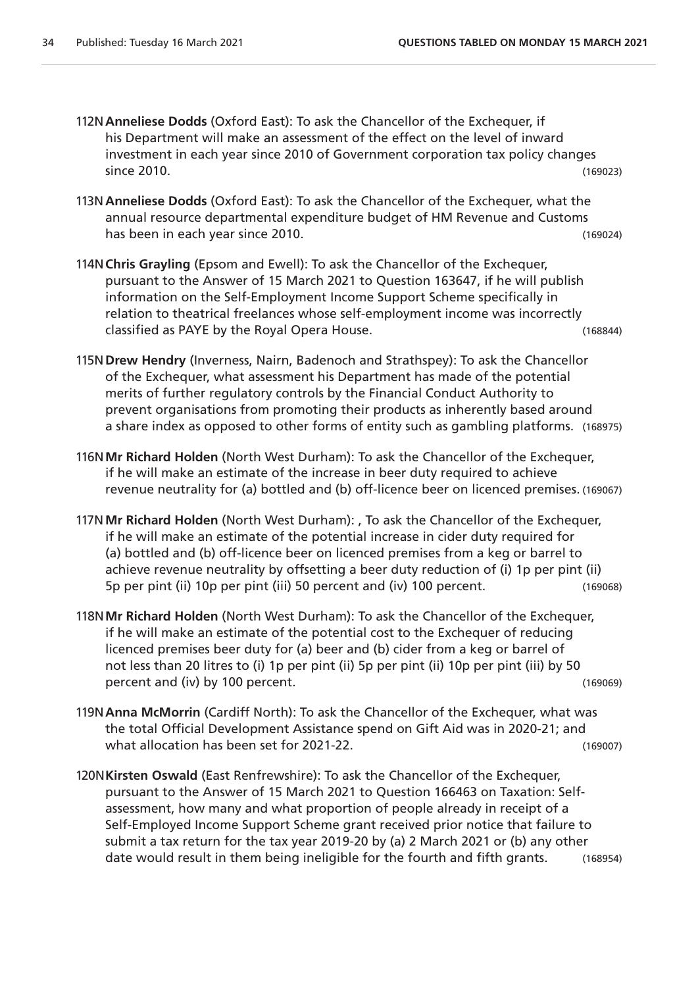- 112N**Anneliese Dodds** (Oxford East): To ask the Chancellor of the Exchequer, if his Department will make an assessment of the effect on the level of inward investment in each year since 2010 of Government corporation tax policy changes since 2010. (169023)
- 113N**Anneliese Dodds** (Oxford East): To ask the Chancellor of the Exchequer, what the annual resource departmental expenditure budget of HM Revenue and Customs has been in each year since 2010. (169024)
- 114N**Chris Grayling** (Epsom and Ewell): To ask the Chancellor of the Exchequer, pursuant to the Answer of 15 March 2021 to Question 163647, if he will publish information on the Self-Employment Income Support Scheme specifically in relation to theatrical freelances whose self-employment income was incorrectly classified as PAYE by the Royal Opera House. (168844)
- 115N**Drew Hendry** (Inverness, Nairn, Badenoch and Strathspey): To ask the Chancellor of the Exchequer, what assessment his Department has made of the potential merits of further regulatory controls by the Financial Conduct Authority to prevent organisations from promoting their products as inherently based around a share index as opposed to other forms of entity such as gambling platforms. (168975)
- 116N**Mr Richard Holden** (North West Durham): To ask the Chancellor of the Exchequer, if he will make an estimate of the increase in beer duty required to achieve revenue neutrality for (a) bottled and (b) off-licence beer on licenced premises. (169067)
- 117N**Mr Richard Holden** (North West Durham): , To ask the Chancellor of the Exchequer, if he will make an estimate of the potential increase in cider duty required for (a) bottled and (b) off-licence beer on licenced premises from a keg or barrel to achieve revenue neutrality by offsetting a beer duty reduction of (i) 1p per pint (ii) 5p per pint (ii) 10p per pint (iii) 50 percent and (iv) 100 percent. (169068)
- 118N**Mr Richard Holden** (North West Durham): To ask the Chancellor of the Exchequer, if he will make an estimate of the potential cost to the Exchequer of reducing licenced premises beer duty for (a) beer and (b) cider from a keg or barrel of not less than 20 litres to (i) 1p per pint (ii) 5p per pint (ii) 10p per pint (iii) by 50 percent and (iv) by 100 percent. (169069)
- 119N**Anna McMorrin** (Cardiff North): To ask the Chancellor of the Exchequer, what was the total Official Development Assistance spend on Gift Aid was in 2020-21; and what allocation has been set for 2021-22. (169007)
- 120N**Kirsten Oswald** (East Renfrewshire): To ask the Chancellor of the Exchequer, pursuant to the Answer of 15 March 2021 to Question 166463 on Taxation: Selfassessment, how many and what proportion of people already in receipt of a Self-Employed Income Support Scheme grant received prior notice that failure to submit a tax return for the tax year 2019-20 by (a) 2 March 2021 or (b) any other date would result in them being ineligible for the fourth and fifth grants. (168954)